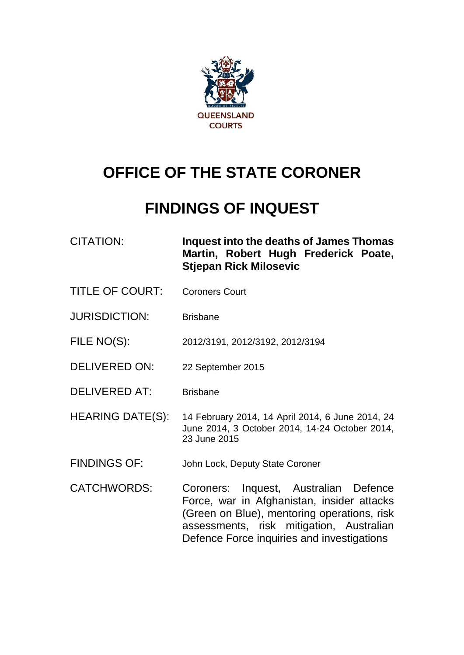

# **OFFICE OF THE STATE CORONER**

# **FINDINGS OF INQUEST**

CITATION: **Inquest into the deaths of James Thomas Martin, Robert Hugh Frederick Poate, Stjepan Rick Milosevic**

- TITLE OF COURT: Coroners Court
- JURISDICTION: Brisbane

FILE NO(S): 2012/3191, 2012/3192, 2012/3194

- DELIVERED ON: 22 September 2015
- DELIVERED AT: Brisbane
- HEARING DATE(S): 14 February 2014, 14 April 2014, 6 June 2014, 24 June 2014, 3 October 2014, 14-24 October 2014, 23 June 2015
- FINDINGS OF: John Lock, Deputy State Coroner
- CATCHWORDS: Coroners: Inquest, Australian Defence Force, war in Afghanistan, insider attacks (Green on Blue), mentoring operations, risk assessments, risk mitigation, Australian Defence Force inquiries and investigations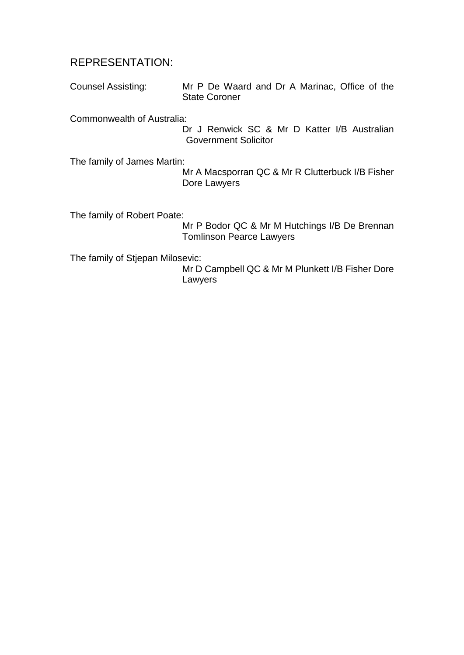## REPRESENTATION:

Counsel Assisting: Mr P De Waard and Dr A Marinac, Office of the State Coroner

Commonwealth of Australia:

Dr J Renwick SC & Mr D Katter I/B Australian Government Solicitor

The family of James Martin:

Mr A Macsporran QC & Mr R Clutterbuck I/B Fisher Dore Lawyers

The family of Robert Poate:

Mr P Bodor QC & Mr M Hutchings I/B De Brennan Tomlinson Pearce Lawyers

The family of Stjepan Milosevic:

Mr D Campbell QC & Mr M Plunkett I/B Fisher Dore Lawyers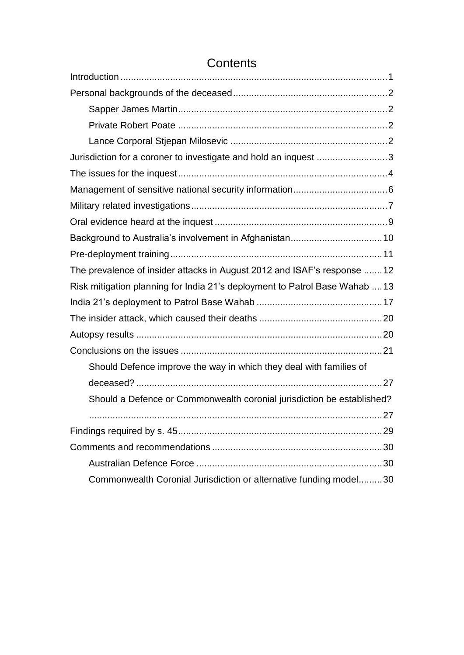| Jurisdiction for a coroner to investigate and hold an inquest 3             |
|-----------------------------------------------------------------------------|
|                                                                             |
|                                                                             |
|                                                                             |
|                                                                             |
|                                                                             |
|                                                                             |
| The prevalence of insider attacks in August 2012 and ISAF's response 12     |
| Risk mitigation planning for India 21's deployment to Patrol Base Wahab  13 |
|                                                                             |
|                                                                             |
|                                                                             |
|                                                                             |
| Should Defence improve the way in which they deal with families of          |
|                                                                             |
| Should a Defence or Commonwealth coronial jurisdiction be established?      |
|                                                                             |
|                                                                             |
|                                                                             |
|                                                                             |
| Commonwealth Coronial Jurisdiction or alternative funding model30           |

# **Contents**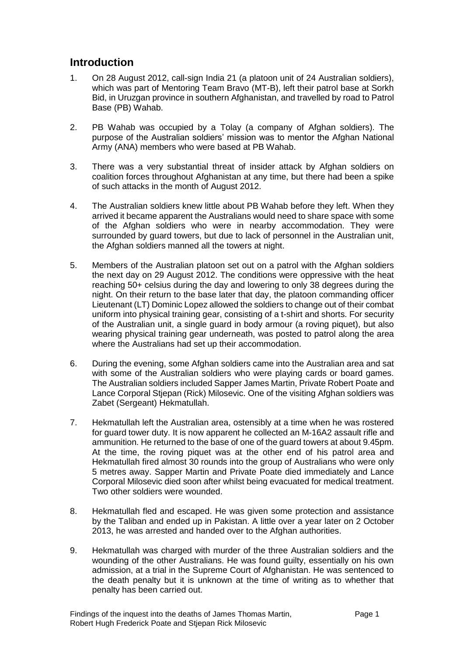# <span id="page-3-0"></span>**Introduction**

- 1. On 28 August 2012, call-sign India 21 (a platoon unit of 24 Australian soldiers), which was part of Mentoring Team Bravo (MT-B), left their patrol base at Sorkh Bid, in Uruzgan province in southern Afghanistan, and travelled by road to Patrol Base (PB) Wahab.
- 2. PB Wahab was occupied by a Tolay (a company of Afghan soldiers). The purpose of the Australian soldiers' mission was to mentor the Afghan National Army (ANA) members who were based at PB Wahab.
- 3. There was a very substantial threat of insider attack by Afghan soldiers on coalition forces throughout Afghanistan at any time, but there had been a spike of such attacks in the month of August 2012.
- 4. The Australian soldiers knew little about PB Wahab before they left. When they arrived it became apparent the Australians would need to share space with some of the Afghan soldiers who were in nearby accommodation. They were surrounded by guard towers, but due to lack of personnel in the Australian unit, the Afghan soldiers manned all the towers at night.
- 5. Members of the Australian platoon set out on a patrol with the Afghan soldiers the next day on 29 August 2012. The conditions were oppressive with the heat reaching 50+ celsius during the day and lowering to only 38 degrees during the night. On their return to the base later that day, the platoon commanding officer Lieutenant (LT) Dominic Lopez allowed the soldiers to change out of their combat uniform into physical training gear, consisting of a t-shirt and shorts. For security of the Australian unit, a single guard in body armour (a roving piquet), but also wearing physical training gear underneath, was posted to patrol along the area where the Australians had set up their accommodation.
- 6. During the evening, some Afghan soldiers came into the Australian area and sat with some of the Australian soldiers who were playing cards or board games. The Australian soldiers included Sapper James Martin, Private Robert Poate and Lance Corporal Stjepan (Rick) Milosevic. One of the visiting Afghan soldiers was Zabet (Sergeant) Hekmatullah.
- 7. Hekmatullah left the Australian area, ostensibly at a time when he was rostered for guard tower duty. It is now apparent he collected an M-16A2 assault rifle and ammunition. He returned to the base of one of the guard towers at about 9.45pm. At the time, the roving piquet was at the other end of his patrol area and Hekmatullah fired almost 30 rounds into the group of Australians who were only 5 metres away. Sapper Martin and Private Poate died immediately and Lance Corporal Milosevic died soon after whilst being evacuated for medical treatment. Two other soldiers were wounded.
- 8. Hekmatullah fled and escaped. He was given some protection and assistance by the Taliban and ended up in Pakistan. A little over a year later on 2 October 2013, he was arrested and handed over to the Afghan authorities.
- 9. Hekmatullah was charged with murder of the three Australian soldiers and the wounding of the other Australians. He was found guilty, essentially on his own admission, at a trial in the Supreme Court of Afghanistan. He was sentenced to the death penalty but it is unknown at the time of writing as to whether that penalty has been carried out.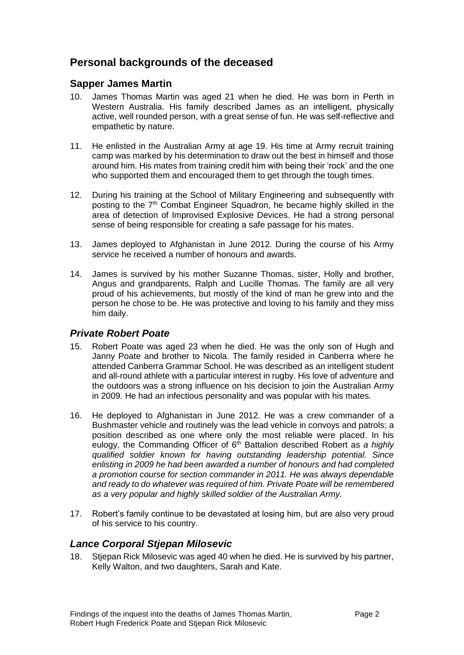# <span id="page-4-0"></span>**Personal backgrounds of the deceased**

#### <span id="page-4-1"></span>**Sapper James Martin**

- 10. James Thomas Martin was aged 21 when he died. He was born in Perth in Western Australia. His family described James as an intelligent, physically active, well rounded person, with a great sense of fun. He was self-reflective and empathetic by nature.
- 11. He enlisted in the Australian Army at age 19. His time at Army recruit training camp was marked by his determination to draw out the best in himself and those around him. His mates from training credit him with being their 'rock' and the one who supported them and encouraged them to get through the tough times.
- 12. During his training at the School of Military Engineering and subsequently with posting to the  $7<sup>th</sup>$  Combat Engineer Squadron, he became highly skilled in the area of detection of Improvised Explosive Devices. He had a strong personal sense of being responsible for creating a safe passage for his mates.
- 13. James deployed to Afghanistan in June 2012. During the course of his Army service he received a number of honours and awards.
- 14. James is survived by his mother Suzanne Thomas, sister, Holly and brother, Angus and grandparents, Ralph and Lucille Thomas. The family are all very proud of his achievements, but mostly of the kind of man he grew into and the person he chose to be. He was protective and loving to his family and they miss him daily.

#### <span id="page-4-2"></span>*Private Robert Poate*

- 15. Robert Poate was aged 23 when he died. He was the only son of Hugh and Janny Poate and brother to Nicola. The family resided in Canberra where he attended Canberra Grammar School. He was described as an intelligent student and all-round athlete with a particular interest in rugby. His love of adventure and the outdoors was a strong influence on his decision to join the Australian Army in 2009. He had an infectious personality and was popular with his mates.
- 16. He deployed to Afghanistan in June 2012. He was a crew commander of a Bushmaster vehicle and routinely was the lead vehicle in convoys and patrols; a position described as one where only the most reliable were placed. In his eulogy, the Commanding Officer of 6<sup>th</sup> Battalion described Robert as *a highly qualified soldier known for having outstanding leadership potential. Since enlisting in 2009 he had been awarded a number of honours and had completed a promotion course for section commander in 2011. He was always dependable and ready to do whatever was required of him. Private Poate will be remembered as a very popular and highly skilled soldier of the Australian Army.*
- 17. Robert's family continue to be devastated at losing him, but are also very proud of his service to his country.

#### <span id="page-4-3"></span>*Lance Corporal Stjepan Milosevic*

18. Stjepan Rick Milosevic was aged 40 when he died. He is survived by his partner, Kelly Walton, and two daughters, Sarah and Kate.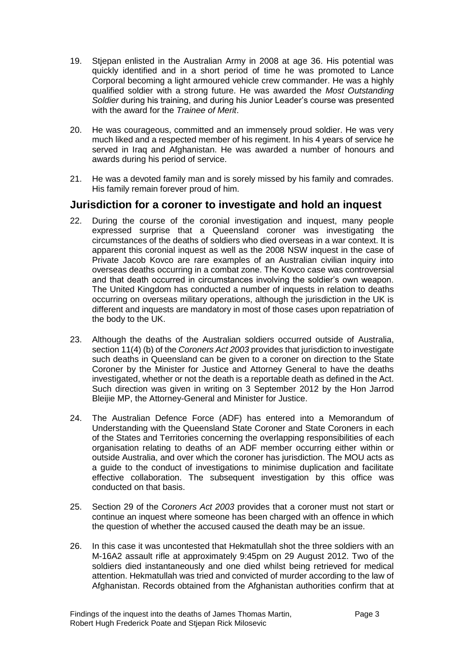- 19. Stjepan enlisted in the Australian Army in 2008 at age 36. His potential was quickly identified and in a short period of time he was promoted to Lance Corporal becoming a light armoured vehicle crew commander. He was a highly qualified soldier with a strong future. He was awarded the *Most Outstanding Soldier* during his training, and during his Junior Leader's course was presented with the award for the *Trainee of Merit*.
- 20. He was courageous, committed and an immensely proud soldier. He was very much liked and a respected member of his regiment. In his 4 years of service he served in Iraq and Afghanistan. He was awarded a number of honours and awards during his period of service.
- 21. He was a devoted family man and is sorely missed by his family and comrades. His family remain forever proud of him.

#### <span id="page-5-0"></span>**Jurisdiction for a coroner to investigate and hold an inquest**

- 22. During the course of the coronial investigation and inquest, many people expressed surprise that a Queensland coroner was investigating the circumstances of the deaths of soldiers who died overseas in a war context. It is apparent this coronial inquest as well as the 2008 NSW inquest in the case of Private Jacob Kovco are rare examples of an Australian civilian inquiry into overseas deaths occurring in a combat zone. The Kovco case was controversial and that death occurred in circumstances involving the soldier's own weapon. The United Kingdom has conducted a number of inquests in relation to deaths occurring on overseas military operations, although the jurisdiction in the UK is different and inquests are mandatory in most of those cases upon repatriation of the body to the UK.
- 23. Although the deaths of the Australian soldiers occurred outside of Australia, section 11(4) (b) of the *Coroners Act 2003* provides that jurisdiction to investigate such deaths in Queensland can be given to a coroner on direction to the State Coroner by the Minister for Justice and Attorney General to have the deaths investigated, whether or not the death is a reportable death as defined in the Act. Such direction was given in writing on 3 September 2012 by the Hon Jarrod Bleijie MP, the Attorney-General and Minister for Justice.
- 24. The Australian Defence Force (ADF) has entered into a Memorandum of Understanding with the Queensland State Coroner and State Coroners in each of the States and Territories concerning the overlapping responsibilities of each organisation relating to deaths of an ADF member occurring either within or outside Australia, and over which the coroner has jurisdiction. The MOU acts as a guide to the conduct of investigations to minimise duplication and facilitate effective collaboration. The subsequent investigation by this office was conducted on that basis.
- 25. Section 29 of the C*oroners Act 2003* provides that a coroner must not start or continue an inquest where someone has been charged with an offence in which the question of whether the accused caused the death may be an issue.
- 26. In this case it was uncontested that Hekmatullah shot the three soldiers with an M-16A2 assault rifle at approximately 9:45pm on 29 August 2012. Two of the soldiers died instantaneously and one died whilst being retrieved for medical attention. Hekmatullah was tried and convicted of murder according to the law of Afghanistan. Records obtained from the Afghanistan authorities confirm that at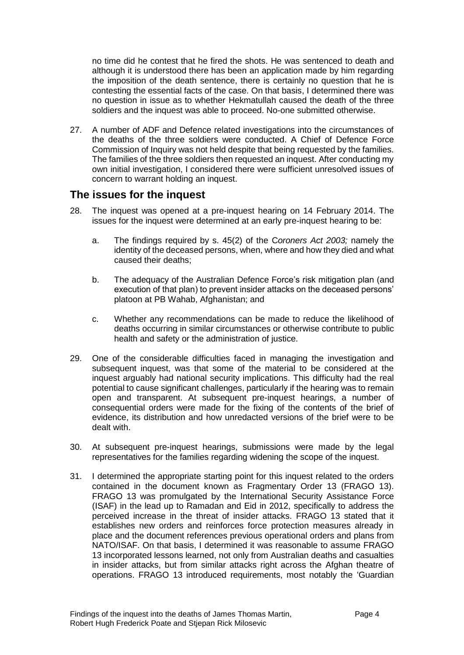no time did he contest that he fired the shots. He was sentenced to death and although it is understood there has been an application made by him regarding the imposition of the death sentence, there is certainly no question that he is contesting the essential facts of the case. On that basis, I determined there was no question in issue as to whether Hekmatullah caused the death of the three soldiers and the inquest was able to proceed. No-one submitted otherwise.

27. A number of ADF and Defence related investigations into the circumstances of the deaths of the three soldiers were conducted. A Chief of Defence Force Commission of Inquiry was not held despite that being requested by the families. The families of the three soldiers then requested an inquest. After conducting my own initial investigation, I considered there were sufficient unresolved issues of concern to warrant holding an inquest.

## <span id="page-6-0"></span>**The issues for the inquest**

- 28. The inquest was opened at a pre-inquest hearing on 14 February 2014. The issues for the inquest were determined at an early pre-inquest hearing to be:
	- a. The findings required by s. 45(2) of the C*oroners Act 2003;* namely the identity of the deceased persons, when, where and how they died and what caused their deaths;
	- b. The adequacy of the Australian Defence Force's risk mitigation plan (and execution of that plan) to prevent insider attacks on the deceased persons' platoon at PB Wahab, Afghanistan; and
	- c. Whether any recommendations can be made to reduce the likelihood of deaths occurring in similar circumstances or otherwise contribute to public health and safety or the administration of justice.
- 29. One of the considerable difficulties faced in managing the investigation and subsequent inquest, was that some of the material to be considered at the inquest arguably had national security implications. This difficulty had the real potential to cause significant challenges, particularly if the hearing was to remain open and transparent. At subsequent pre-inquest hearings, a number of consequential orders were made for the fixing of the contents of the brief of evidence, its distribution and how unredacted versions of the brief were to be dealt with.
- 30. At subsequent pre-inquest hearings, submissions were made by the legal representatives for the families regarding widening the scope of the inquest.
- 31. I determined the appropriate starting point for this inquest related to the orders contained in the document known as Fragmentary Order 13 (FRAGO 13). FRAGO 13 was promulgated by the International Security Assistance Force (ISAF) in the lead up to Ramadan and Eid in 2012, specifically to address the perceived increase in the threat of insider attacks. FRAGO 13 stated that it establishes new orders and reinforces force protection measures already in place and the document references previous operational orders and plans from NATO/ISAF. On that basis, I determined it was reasonable to assume FRAGO 13 incorporated lessons learned, not only from Australian deaths and casualties in insider attacks, but from similar attacks right across the Afghan theatre of operations. FRAGO 13 introduced requirements, most notably the 'Guardian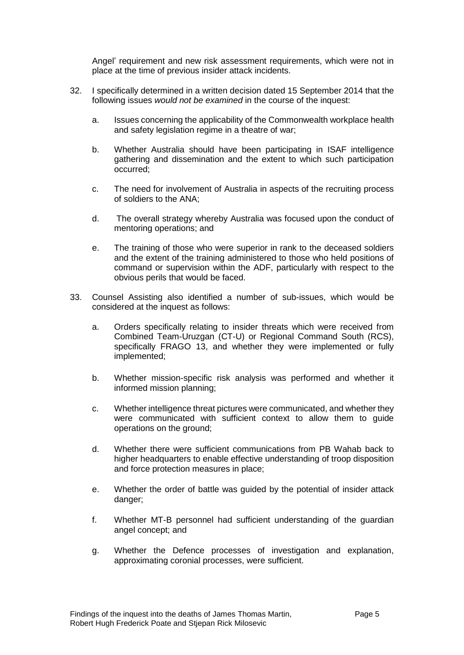Angel' requirement and new risk assessment requirements, which were not in place at the time of previous insider attack incidents.

- 32. I specifically determined in a written decision dated 15 September 2014 that the following issues *would not be examined* in the course of the inquest:
	- a. Issues concerning the applicability of the Commonwealth workplace health and safety legislation regime in a theatre of war;
	- b. Whether Australia should have been participating in ISAF intelligence gathering and dissemination and the extent to which such participation occurred;
	- c. The need for involvement of Australia in aspects of the recruiting process of soldiers to the ANA;
	- d. The overall strategy whereby Australia was focused upon the conduct of mentoring operations; and
	- e. The training of those who were superior in rank to the deceased soldiers and the extent of the training administered to those who held positions of command or supervision within the ADF, particularly with respect to the obvious perils that would be faced.
- 33. Counsel Assisting also identified a number of sub-issues, which would be considered at the inquest as follows:
	- a. Orders specifically relating to insider threats which were received from Combined Team-Uruzgan (CT-U) or Regional Command South (RCS), specifically FRAGO 13, and whether they were implemented or fully implemented;
	- b. Whether mission-specific risk analysis was performed and whether it informed mission planning;
	- c. Whether intelligence threat pictures were communicated, and whether they were communicated with sufficient context to allow them to guide operations on the ground;
	- d. Whether there were sufficient communications from PB Wahab back to higher headquarters to enable effective understanding of troop disposition and force protection measures in place;
	- e. Whether the order of battle was guided by the potential of insider attack danger;
	- f. Whether MT-B personnel had sufficient understanding of the guardian angel concept; and
	- g. Whether the Defence processes of investigation and explanation, approximating coronial processes, were sufficient.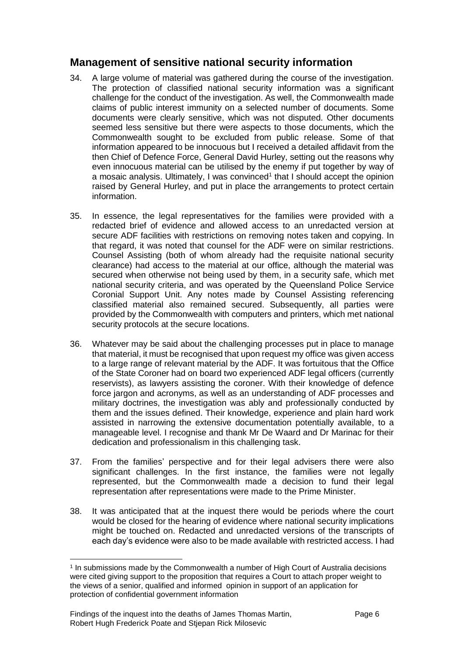# <span id="page-8-0"></span>**Management of sensitive national security information**

- 34. A large volume of material was gathered during the course of the investigation. The protection of classified national security information was a significant challenge for the conduct of the investigation. As well, the Commonwealth made claims of public interest immunity on a selected number of documents. Some documents were clearly sensitive, which was not disputed. Other documents seemed less sensitive but there were aspects to those documents, which the Commonwealth sought to be excluded from public release. Some of that information appeared to be innocuous but I received a detailed affidavit from the then Chief of Defence Force, General David Hurley, setting out the reasons why even innocuous material can be utilised by the enemy if put together by way of a mosaic analysis. Ultimately, I was convinced<sup>1</sup> that I should accept the opinion raised by General Hurley, and put in place the arrangements to protect certain information.
- 35. In essence, the legal representatives for the families were provided with a redacted brief of evidence and allowed access to an unredacted version at secure ADF facilities with restrictions on removing notes taken and copying. In that regard, it was noted that counsel for the ADF were on similar restrictions. Counsel Assisting (both of whom already had the requisite national security clearance) had access to the material at our office, although the material was secured when otherwise not being used by them, in a security safe, which met national security criteria, and was operated by the Queensland Police Service Coronial Support Unit. Any notes made by Counsel Assisting referencing classified material also remained secured. Subsequently, all parties were provided by the Commonwealth with computers and printers, which met national security protocols at the secure locations.
- 36. Whatever may be said about the challenging processes put in place to manage that material, it must be recognised that upon request my office was given access to a large range of relevant material by the ADF. It was fortuitous that the Office of the State Coroner had on board two experienced ADF legal officers (currently reservists), as lawyers assisting the coroner. With their knowledge of defence force jargon and acronyms, as well as an understanding of ADF processes and military doctrines, the investigation was ably and professionally conducted by them and the issues defined. Their knowledge, experience and plain hard work assisted in narrowing the extensive documentation potentially available, to a manageable level. I recognise and thank Mr De Waard and Dr Marinac for their dedication and professionalism in this challenging task.
- 37. From the families' perspective and for their legal advisers there were also significant challenges. In the first instance, the families were not legally represented, but the Commonwealth made a decision to fund their legal representation after representations were made to the Prime Minister.
- 38. It was anticipated that at the inquest there would be periods where the court would be closed for the hearing of evidence where national security implications might be touched on. Redacted and unredacted versions of the transcripts of each day's evidence were also to be made available with restricted access. I had

l

<sup>1</sup> In submissions made by the Commonwealth a number of High Court of Australia decisions were cited giving support to the proposition that requires a Court to attach proper weight to the views of a senior, qualified and informed opinion in support of an application for protection of confidential government information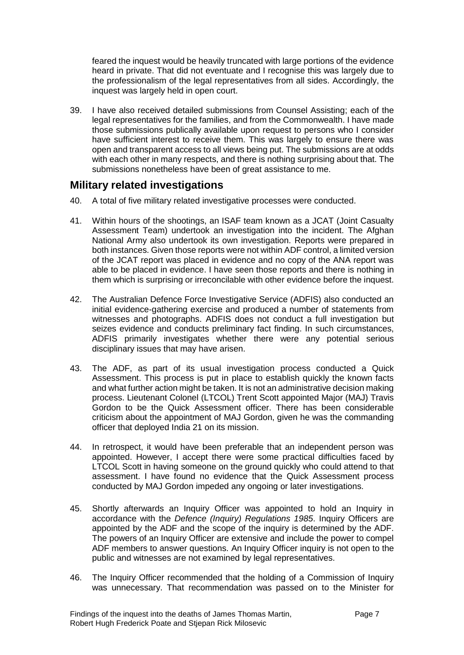feared the inquest would be heavily truncated with large portions of the evidence heard in private. That did not eventuate and I recognise this was largely due to the professionalism of the legal representatives from all sides. Accordingly, the inquest was largely held in open court.

39. I have also received detailed submissions from Counsel Assisting; each of the legal representatives for the families, and from the Commonwealth. I have made those submissions publically available upon request to persons who I consider have sufficient interest to receive them. This was largely to ensure there was open and transparent access to all views being put. The submissions are at odds with each other in many respects, and there is nothing surprising about that. The submissions nonetheless have been of great assistance to me.

# <span id="page-9-0"></span>**Military related investigations**

- 40. A total of five military related investigative processes were conducted.
- 41. Within hours of the shootings, an ISAF team known as a JCAT (Joint Casualty Assessment Team) undertook an investigation into the incident. The Afghan National Army also undertook its own investigation. Reports were prepared in both instances. Given those reports were not within ADF control, a limited version of the JCAT report was placed in evidence and no copy of the ANA report was able to be placed in evidence. I have seen those reports and there is nothing in them which is surprising or irreconcilable with other evidence before the inquest.
- 42. The Australian Defence Force Investigative Service (ADFIS) also conducted an initial evidence-gathering exercise and produced a number of statements from witnesses and photographs. ADFIS does not conduct a full investigation but seizes evidence and conducts preliminary fact finding. In such circumstances, ADFIS primarily investigates whether there were any potential serious disciplinary issues that may have arisen.
- 43. The ADF, as part of its usual investigation process conducted a Quick Assessment. This process is put in place to establish quickly the known facts and what further action might be taken. It is not an administrative decision making process. Lieutenant Colonel (LTCOL) Trent Scott appointed Major (MAJ) Travis Gordon to be the Quick Assessment officer. There has been considerable criticism about the appointment of MAJ Gordon, given he was the commanding officer that deployed India 21 on its mission.
- 44. In retrospect, it would have been preferable that an independent person was appointed. However, I accept there were some practical difficulties faced by LTCOL Scott in having someone on the ground quickly who could attend to that assessment. I have found no evidence that the Quick Assessment process conducted by MAJ Gordon impeded any ongoing or later investigations.
- 45. Shortly afterwards an Inquiry Officer was appointed to hold an Inquiry in accordance with the *Defence (Inquiry) Regulations 1985*. Inquiry Officers are appointed by the ADF and the scope of the inquiry is determined by the ADF. The powers of an Inquiry Officer are extensive and include the power to compel ADF members to answer questions. An Inquiry Officer inquiry is not open to the public and witnesses are not examined by legal representatives.
- 46. The Inquiry Officer recommended that the holding of a Commission of Inquiry was unnecessary. That recommendation was passed on to the Minister for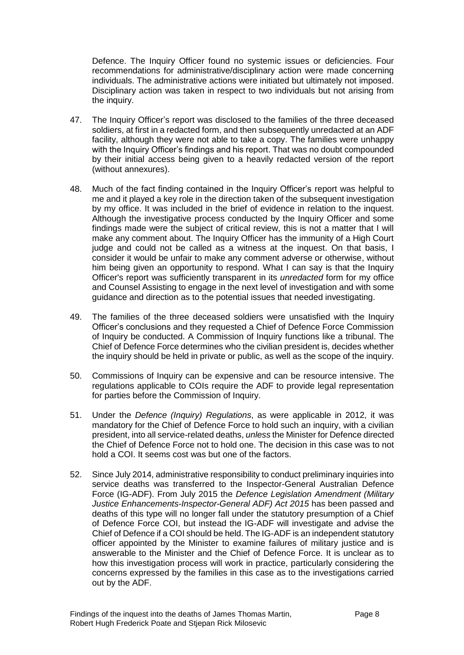Defence. The Inquiry Officer found no systemic issues or deficiencies. Four recommendations for administrative/disciplinary action were made concerning individuals. The administrative actions were initiated but ultimately not imposed. Disciplinary action was taken in respect to two individuals but not arising from the inquiry.

- 47. The Inquiry Officer's report was disclosed to the families of the three deceased soldiers, at first in a redacted form, and then subsequently unredacted at an ADF facility, although they were not able to take a copy. The families were unhappy with the Inquiry Officer's findings and his report. That was no doubt compounded by their initial access being given to a heavily redacted version of the report (without annexures).
- 48. Much of the fact finding contained in the Inquiry Officer's report was helpful to me and it played a key role in the direction taken of the subsequent investigation by my office. It was included in the brief of evidence in relation to the inquest. Although the investigative process conducted by the Inquiry Officer and some findings made were the subject of critical review, this is not a matter that I will make any comment about. The Inquiry Officer has the immunity of a High Court judge and could not be called as a witness at the inquest. On that basis, I consider it would be unfair to make any comment adverse or otherwise, without him being given an opportunity to respond. What I can say is that the Inquiry Officer's report was sufficiently transparent in its *unredacted* form for my office and Counsel Assisting to engage in the next level of investigation and with some guidance and direction as to the potential issues that needed investigating.
- 49. The families of the three deceased soldiers were unsatisfied with the Inquiry Officer's conclusions and they requested a Chief of Defence Force Commission of Inquiry be conducted. A Commission of Inquiry functions like a tribunal. The Chief of Defence Force determines who the civilian president is, decides whether the inquiry should be held in private or public, as well as the scope of the inquiry.
- 50. Commissions of Inquiry can be expensive and can be resource intensive. The regulations applicable to COIs require the ADF to provide legal representation for parties before the Commission of Inquiry.
- 51. Under the *Defence (Inquiry) Regulations*, as were applicable in 2012, it was mandatory for the Chief of Defence Force to hold such an inquiry, with a civilian president, into all service-related deaths, *unless* the Minister for Defence directed the Chief of Defence Force not to hold one. The decision in this case was to not hold a COI. It seems cost was but one of the factors.
- 52. Since July 2014, administrative responsibility to conduct preliminary inquiries into service deaths was transferred to the Inspector-General Australian Defence Force (IG-ADF). From July 2015 the *Defence Legislation Amendment (Military Justice Enhancements-Inspector-General ADF) Act 2015* has been passed and deaths of this type will no longer fall under the statutory presumption of a Chief of Defence Force COI, but instead the IG-ADF will investigate and advise the Chief of Defence if a COI should be held. The IG-ADF is an independent statutory officer appointed by the Minister to examine failures of military justice and is answerable to the Minister and the Chief of Defence Force. It is unclear as to how this investigation process will work in practice, particularly considering the concerns expressed by the families in this case as to the investigations carried out by the ADF.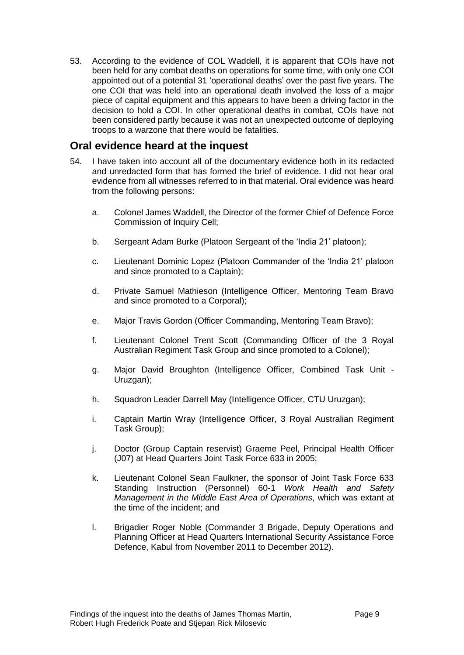53. According to the evidence of COL Waddell, it is apparent that COIs have not been held for any combat deaths on operations for some time, with only one COI appointed out of a potential 31 'operational deaths' over the past five years. The one COI that was held into an operational death involved the loss of a major piece of capital equipment and this appears to have been a driving factor in the decision to hold a COI. In other operational deaths in combat, COIs have not been considered partly because it was not an unexpected outcome of deploying troops to a warzone that there would be fatalities.

#### <span id="page-11-0"></span>**Oral evidence heard at the inquest**

- 54. I have taken into account all of the documentary evidence both in its redacted and unredacted form that has formed the brief of evidence. I did not hear oral evidence from all witnesses referred to in that material. Oral evidence was heard from the following persons:
	- a. Colonel James Waddell, the Director of the former Chief of Defence Force Commission of Inquiry Cell;
	- b. Sergeant Adam Burke (Platoon Sergeant of the 'India 21' platoon);
	- c. Lieutenant Dominic Lopez (Platoon Commander of the 'India 21' platoon and since promoted to a Captain);
	- d. Private Samuel Mathieson (Intelligence Officer, Mentoring Team Bravo and since promoted to a Corporal);
	- e. Major Travis Gordon (Officer Commanding, Mentoring Team Bravo);
	- f. Lieutenant Colonel Trent Scott (Commanding Officer of the 3 Royal Australian Regiment Task Group and since promoted to a Colonel);
	- g. Major David Broughton (Intelligence Officer, Combined Task Unit Uruzgan);
	- h. Squadron Leader Darrell May (Intelligence Officer, CTU Uruzgan);
	- i. Captain Martin Wray (Intelligence Officer, 3 Royal Australian Regiment Task Group);
	- j. Doctor (Group Captain reservist) Graeme Peel, Principal Health Officer (J07) at Head Quarters Joint Task Force 633 in 2005;
	- k. Lieutenant Colonel Sean Faulkner, the sponsor of Joint Task Force 633 Standing Instruction (Personnel) 60-1 *Work Health and Safety Management in the Middle East Area of Operations*, which was extant at the time of the incident; and
	- l. Brigadier Roger Noble (Commander 3 Brigade, Deputy Operations and Planning Officer at Head Quarters International Security Assistance Force Defence, Kabul from November 2011 to December 2012).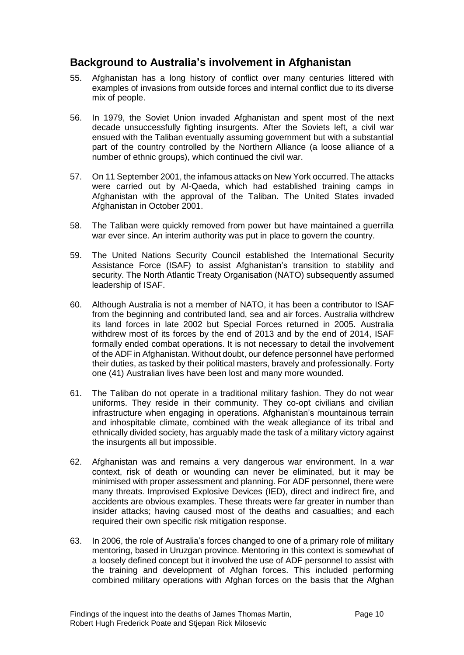# <span id="page-12-0"></span>**Background to Australia's involvement in Afghanistan**

- 55. Afghanistan has a long history of conflict over many centuries littered with examples of invasions from outside forces and internal conflict due to its diverse mix of people.
- 56. In 1979, the Soviet Union invaded Afghanistan and spent most of the next decade unsuccessfully fighting insurgents. After the Soviets left, a civil war ensued with the Taliban eventually assuming government but with a substantial part of the country controlled by the Northern Alliance (a loose alliance of a number of ethnic groups), which continued the civil war.
- 57. On 11 September 2001, the infamous attacks on New York occurred. The attacks were carried out by Al-Qaeda, which had established training camps in Afghanistan with the approval of the Taliban. The United States invaded Afghanistan in October 2001.
- 58. The Taliban were quickly removed from power but have maintained a guerrilla war ever since. An interim authority was put in place to govern the country.
- 59. The United Nations Security Council established the International Security Assistance Force (ISAF) to assist Afghanistan's transition to stability and security. The North Atlantic Treaty Organisation (NATO) subsequently assumed leadership of ISAF.
- 60. Although Australia is not a member of NATO, it has been a contributor to ISAF from the beginning and contributed land, sea and air forces. Australia withdrew its land forces in late 2002 but Special Forces returned in 2005. Australia withdrew most of its forces by the end of 2013 and by the end of 2014, ISAF formally ended combat operations. It is not necessary to detail the involvement of the ADF in Afghanistan. Without doubt, our defence personnel have performed their duties, as tasked by their political masters, bravely and professionally. Forty one (41) Australian lives have been lost and many more wounded.
- 61. The Taliban do not operate in a traditional military fashion. They do not wear uniforms. They reside in their community. They co-opt civilians and civilian infrastructure when engaging in operations. Afghanistan's mountainous terrain and inhospitable climate, combined with the weak allegiance of its tribal and ethnically divided society, has arguably made the task of a military victory against the insurgents all but impossible.
- 62. Afghanistan was and remains a very dangerous war environment. In a war context, risk of death or wounding can never be eliminated, but it may be minimised with proper assessment and planning. For ADF personnel, there were many threats. Improvised Explosive Devices (IED), direct and indirect fire, and accidents are obvious examples. These threats were far greater in number than insider attacks; having caused most of the deaths and casualties; and each required their own specific risk mitigation response.
- 63. In 2006, the role of Australia's forces changed to one of a primary role of military mentoring, based in Uruzgan province. Mentoring in this context is somewhat of a loosely defined concept but it involved the use of ADF personnel to assist with the training and development of Afghan forces. This included performing combined military operations with Afghan forces on the basis that the Afghan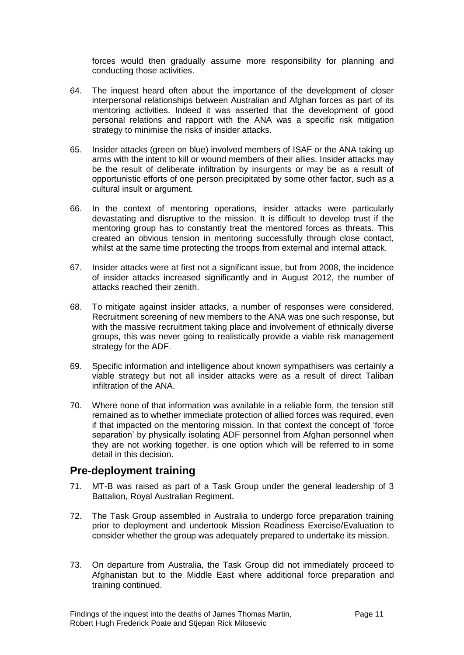forces would then gradually assume more responsibility for planning and conducting those activities.

- 64. The inquest heard often about the importance of the development of closer interpersonal relationships between Australian and Afghan forces as part of its mentoring activities. Indeed it was asserted that the development of good personal relations and rapport with the ANA was a specific risk mitigation strategy to minimise the risks of insider attacks.
- 65. Insider attacks (green on blue) involved members of ISAF or the ANA taking up arms with the intent to kill or wound members of their allies. Insider attacks may be the result of deliberate infiltration by insurgents or may be as a result of opportunistic efforts of one person precipitated by some other factor, such as a cultural insult or argument.
- 66. In the context of mentoring operations, insider attacks were particularly devastating and disruptive to the mission. It is difficult to develop trust if the mentoring group has to constantly treat the mentored forces as threats. This created an obvious tension in mentoring successfully through close contact, whilst at the same time protecting the troops from external and internal attack.
- 67. Insider attacks were at first not a significant issue, but from 2008, the incidence of insider attacks increased significantly and in August 2012, the number of attacks reached their zenith.
- 68. To mitigate against insider attacks, a number of responses were considered. Recruitment screening of new members to the ANA was one such response, but with the massive recruitment taking place and involvement of ethnically diverse groups, this was never going to realistically provide a viable risk management strategy for the ADF.
- 69. Specific information and intelligence about known sympathisers was certainly a viable strategy but not all insider attacks were as a result of direct Taliban infiltration of the ANA.
- 70. Where none of that information was available in a reliable form, the tension still remained as to whether immediate protection of allied forces was required, even if that impacted on the mentoring mission. In that context the concept of 'force separation' by physically isolating ADF personnel from Afghan personnel when they are not working together, is one option which will be referred to in some detail in this decision.

#### <span id="page-13-0"></span>**Pre-deployment training**

- 71. MT-B was raised as part of a Task Group under the general leadership of 3 Battalion, Royal Australian Regiment.
- 72. The Task Group assembled in Australia to undergo force preparation training prior to deployment and undertook Mission Readiness Exercise/Evaluation to consider whether the group was adequately prepared to undertake its mission.
- 73. On departure from Australia, the Task Group did not immediately proceed to Afghanistan but to the Middle East where additional force preparation and training continued.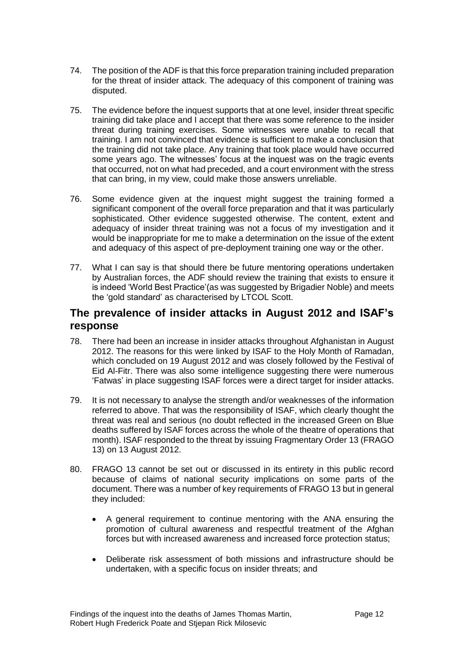- 74. The position of the ADF is that this force preparation training included preparation for the threat of insider attack. The adequacy of this component of training was disputed.
- 75. The evidence before the inquest supports that at one level, insider threat specific training did take place and I accept that there was some reference to the insider threat during training exercises. Some witnesses were unable to recall that training. I am not convinced that evidence is sufficient to make a conclusion that the training did not take place. Any training that took place would have occurred some years ago. The witnesses' focus at the inquest was on the tragic events that occurred, not on what had preceded, and a court environment with the stress that can bring, in my view, could make those answers unreliable.
- 76. Some evidence given at the inquest might suggest the training formed a significant component of the overall force preparation and that it was particularly sophisticated. Other evidence suggested otherwise. The content, extent and adequacy of insider threat training was not a focus of my investigation and it would be inappropriate for me to make a determination on the issue of the extent and adequacy of this aspect of pre-deployment training one way or the other.
- 77. What I can say is that should there be future mentoring operations undertaken by Australian forces, the ADF should review the training that exists to ensure it is indeed 'World Best Practice'(as was suggested by Brigadier Noble) and meets the 'gold standard' as characterised by LTCOL Scott.

# <span id="page-14-0"></span>**The prevalence of insider attacks in August 2012 and ISAF's response**

- 78. There had been an increase in insider attacks throughout Afghanistan in August 2012. The reasons for this were linked by ISAF to the Holy Month of Ramadan, which concluded on 19 August 2012 and was closely followed by the Festival of Eid Al-Fitr. There was also some intelligence suggesting there were numerous 'Fatwas' in place suggesting ISAF forces were a direct target for insider attacks.
- 79. It is not necessary to analyse the strength and/or weaknesses of the information referred to above. That was the responsibility of ISAF, which clearly thought the threat was real and serious (no doubt reflected in the increased Green on Blue deaths suffered by ISAF forces across the whole of the theatre of operations that month). ISAF responded to the threat by issuing Fragmentary Order 13 (FRAGO 13) on 13 August 2012.
- 80. FRAGO 13 cannot be set out or discussed in its entirety in this public record because of claims of national security implications on some parts of the document. There was a number of key requirements of FRAGO 13 but in general they included:
	- A general requirement to continue mentoring with the ANA ensuring the promotion of cultural awareness and respectful treatment of the Afghan forces but with increased awareness and increased force protection status;
	- Deliberate risk assessment of both missions and infrastructure should be undertaken, with a specific focus on insider threats; and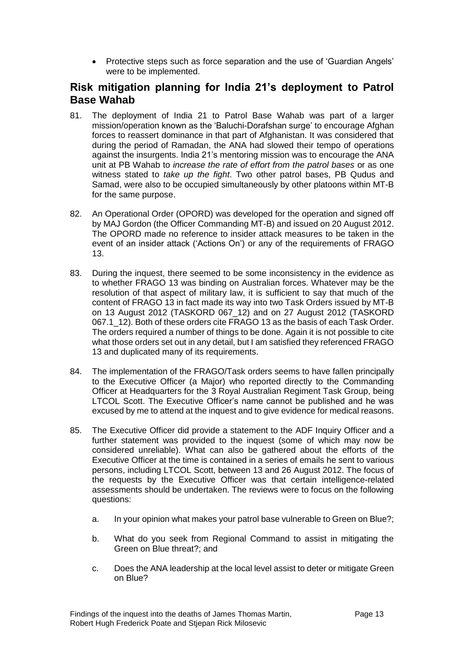Protective steps such as force separation and the use of 'Guardian Angels' were to be implemented.

# <span id="page-15-0"></span>**Risk mitigation planning for India 21's deployment to Patrol Base Wahab**

- 81. The deployment of India 21 to Patrol Base Wahab was part of a larger mission/operation known as the 'Baluchi-Dorafshan surge' to encourage Afghan forces to reassert dominance in that part of Afghanistan. It was considered that during the period of Ramadan, the ANA had slowed their tempo of operations against the insurgents. India 21's mentoring mission was to encourage the ANA unit at PB Wahab to *increase the rate of effort from the patrol bases* or as one witness stated to *take up the fight*. Two other patrol bases, PB Qudus and Samad, were also to be occupied simultaneously by other platoons within MT-B for the same purpose.
- 82. An Operational Order (OPORD) was developed for the operation and signed off by MAJ Gordon (the Officer Commanding MT-B) and issued on 20 August 2012. The OPORD made no reference to insider attack measures to be taken in the event of an insider attack ('Actions On') or any of the requirements of FRAGO 13.
- 83. During the inquest, there seemed to be some inconsistency in the evidence as to whether FRAGO 13 was binding on Australian forces. Whatever may be the resolution of that aspect of military law, it is sufficient to say that much of the content of FRAGO 13 in fact made its way into two Task Orders issued by MT-B on 13 August 2012 (TASKORD 067\_12) and on 27 August 2012 (TASKORD 067.1 12). Both of these orders cite FRAGO 13 as the basis of each Task Order. The orders required a number of things to be done. Again it is not possible to cite what those orders set out in any detail, but I am satisfied they referenced FRAGO 13 and duplicated many of its requirements.
- 84. The implementation of the FRAGO/Task orders seems to have fallen principally to the Executive Officer (a Major) who reported directly to the Commanding Officer at Headquarters for the 3 Royal Australian Regiment Task Group, being LTCOL Scott. The Executive Officer's name cannot be published and he was excused by me to attend at the inquest and to give evidence for medical reasons.
- 85. The Executive Officer did provide a statement to the ADF Inquiry Officer and a further statement was provided to the inquest (some of which may now be considered unreliable). What can also be gathered about the efforts of the Executive Officer at the time is contained in a series of emails he sent to various persons, including LTCOL Scott, between 13 and 26 August 2012. The focus of the requests by the Executive Officer was that certain intelligence-related assessments should be undertaken. The reviews were to focus on the following questions:
	- a. In your opinion what makes your patrol base vulnerable to Green on Blue?;
	- b. What do you seek from Regional Command to assist in mitigating the Green on Blue threat?; and
	- c. Does the ANA leadership at the local level assist to deter or mitigate Green on Blue?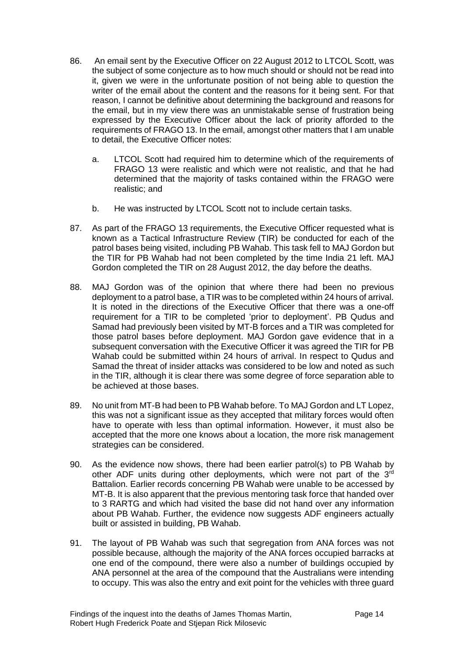- 86. An email sent by the Executive Officer on 22 August 2012 to LTCOL Scott, was the subject of some conjecture as to how much should or should not be read into it, given we were in the unfortunate position of not being able to question the writer of the email about the content and the reasons for it being sent. For that reason, I cannot be definitive about determining the background and reasons for the email, but in my view there was an unmistakable sense of frustration being expressed by the Executive Officer about the lack of priority afforded to the requirements of FRAGO 13. In the email, amongst other matters that I am unable to detail, the Executive Officer notes:
	- a. LTCOL Scott had required him to determine which of the requirements of FRAGO 13 were realistic and which were not realistic, and that he had determined that the majority of tasks contained within the FRAGO were realistic; and
	- b. He was instructed by LTCOL Scott not to include certain tasks.
- 87. As part of the FRAGO 13 requirements, the Executive Officer requested what is known as a Tactical Infrastructure Review (TIR) be conducted for each of the patrol bases being visited, including PB Wahab. This task fell to MAJ Gordon but the TIR for PB Wahab had not been completed by the time India 21 left. MAJ Gordon completed the TIR on 28 August 2012, the day before the deaths.
- 88. MAJ Gordon was of the opinion that where there had been no previous deployment to a patrol base, a TIR was to be completed within 24 hours of arrival. It is noted in the directions of the Executive Officer that there was a one-off requirement for a TIR to be completed 'prior to deployment'. PB Qudus and Samad had previously been visited by MT-B forces and a TIR was completed for those patrol bases before deployment. MAJ Gordon gave evidence that in a subsequent conversation with the Executive Officer it was agreed the TIR for PB Wahab could be submitted within 24 hours of arrival. In respect to Qudus and Samad the threat of insider attacks was considered to be low and noted as such in the TIR, although it is clear there was some degree of force separation able to be achieved at those bases.
- 89. No unit from MT-B had been to PB Wahab before. To MAJ Gordon and LT Lopez, this was not a significant issue as they accepted that military forces would often have to operate with less than optimal information. However, it must also be accepted that the more one knows about a location, the more risk management strategies can be considered.
- 90. As the evidence now shows, there had been earlier patrol(s) to PB Wahab by other ADF units during other deployments, which were not part of the 3rd Battalion. Earlier records concerning PB Wahab were unable to be accessed by MT-B. It is also apparent that the previous mentoring task force that handed over to 3 RARTG and which had visited the base did not hand over any information about PB Wahab. Further, the evidence now suggests ADF engineers actually built or assisted in building, PB Wahab.
- 91. The layout of PB Wahab was such that segregation from ANA forces was not possible because, although the majority of the ANA forces occupied barracks at one end of the compound, there were also a number of buildings occupied by ANA personnel at the area of the compound that the Australians were intending to occupy. This was also the entry and exit point for the vehicles with three guard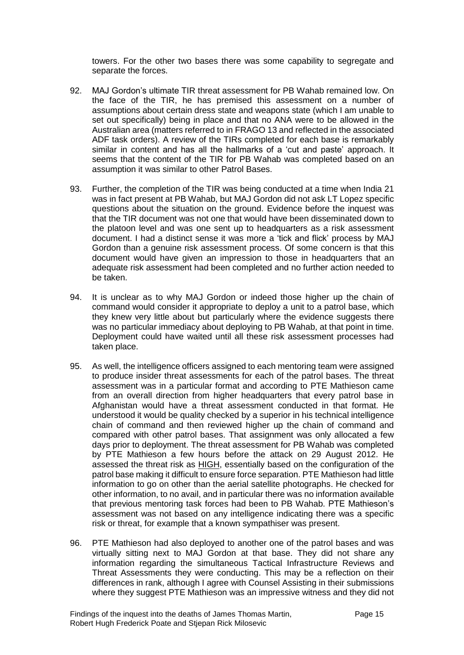towers. For the other two bases there was some capability to segregate and separate the forces.

- 92. MAJ Gordon's ultimate TIR threat assessment for PB Wahab remained low. On the face of the TIR, he has premised this assessment on a number of assumptions about certain dress state and weapons state (which I am unable to set out specifically) being in place and that no ANA were to be allowed in the Australian area (matters referred to in FRAGO 13 and reflected in the associated ADF task orders). A review of the TIRs completed for each base is remarkably similar in content and has all the hallmarks of a 'cut and paste' approach. It seems that the content of the TIR for PB Wahab was completed based on an assumption it was similar to other Patrol Bases.
- 93. Further, the completion of the TIR was being conducted at a time when India 21 was in fact present at PB Wahab, but MAJ Gordon did not ask LT Lopez specific questions about the situation on the ground. Evidence before the inquest was that the TIR document was not one that would have been disseminated down to the platoon level and was one sent up to headquarters as a risk assessment document. I had a distinct sense it was more a 'tick and flick' process by MAJ Gordon than a genuine risk assessment process. Of some concern is that this document would have given an impression to those in headquarters that an adequate risk assessment had been completed and no further action needed to be taken.
- 94. It is unclear as to why MAJ Gordon or indeed those higher up the chain of command would consider it appropriate to deploy a unit to a patrol base, which they knew very little about but particularly where the evidence suggests there was no particular immediacy about deploying to PB Wahab, at that point in time. Deployment could have waited until all these risk assessment processes had taken place.
- 95. As well, the intelligence officers assigned to each mentoring team were assigned to produce insider threat assessments for each of the patrol bases. The threat assessment was in a particular format and according to PTE Mathieson came from an overall direction from higher headquarters that every patrol base in Afghanistan would have a threat assessment conducted in that format. He understood it would be quality checked by a superior in his technical intelligence chain of command and then reviewed higher up the chain of command and compared with other patrol bases. That assignment was only allocated a few days prior to deployment. The threat assessment for PB Wahab was completed by PTE Mathieson a few hours before the attack on 29 August 2012. He assessed the threat risk as HIGH, essentially based on the configuration of the patrol base making it difficult to ensure force separation. PTE Mathieson had little information to go on other than the aerial satellite photographs. He checked for other information, to no avail, and in particular there was no information available that previous mentoring task forces had been to PB Wahab. PTE Mathieson's assessment was not based on any intelligence indicating there was a specific risk or threat, for example that a known sympathiser was present.
- 96. PTE Mathieson had also deployed to another one of the patrol bases and was virtually sitting next to MAJ Gordon at that base. They did not share any information regarding the simultaneous Tactical Infrastructure Reviews and Threat Assessments they were conducting. This may be a reflection on their differences in rank, although I agree with Counsel Assisting in their submissions where they suggest PTE Mathieson was an impressive witness and they did not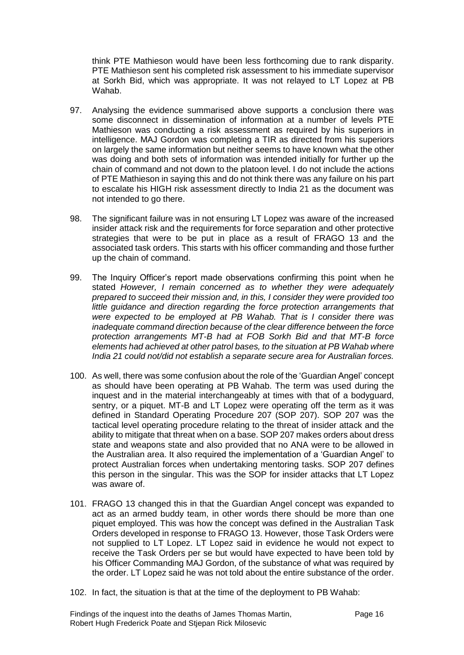think PTE Mathieson would have been less forthcoming due to rank disparity. PTE Mathieson sent his completed risk assessment to his immediate supervisor at Sorkh Bid, which was appropriate. It was not relayed to LT Lopez at PB Wahab.

- 97. Analysing the evidence summarised above supports a conclusion there was some disconnect in dissemination of information at a number of levels PTE Mathieson was conducting a risk assessment as required by his superiors in intelligence. MAJ Gordon was completing a TIR as directed from his superiors on largely the same information but neither seems to have known what the other was doing and both sets of information was intended initially for further up the chain of command and not down to the platoon level. I do not include the actions of PTE Mathieson in saying this and do not think there was any failure on his part to escalate his HIGH risk assessment directly to India 21 as the document was not intended to go there.
- 98. The significant failure was in not ensuring LT Lopez was aware of the increased insider attack risk and the requirements for force separation and other protective strategies that were to be put in place as a result of FRAGO 13 and the associated task orders. This starts with his officer commanding and those further up the chain of command.
- 99. The Inquiry Officer's report made observations confirming this point when he stated *However, I remain concerned as to whether they were adequately prepared to succeed their mission and, in this, I consider they were provided too little guidance and direction regarding the force protection arrangements that were expected to be employed at PB Wahab. That is I consider there was inadequate command direction because of the clear difference between the force protection arrangements MT-B had at FOB Sorkh Bid and that MT-B force elements had achieved at other patrol bases, to the situation at PB Wahab where India 21 could not/did not establish a separate secure area for Australian forces.*
- 100. As well, there was some confusion about the role of the 'Guardian Angel' concept as should have been operating at PB Wahab. The term was used during the inquest and in the material interchangeably at times with that of a bodyguard, sentry, or a piquet. MT-B and LT Lopez were operating off the term as it was defined in Standard Operating Procedure 207 (SOP 207). SOP 207 was the tactical level operating procedure relating to the threat of insider attack and the ability to mitigate that threat when on a base. SOP 207 makes orders about dress state and weapons state and also provided that no ANA were to be allowed in the Australian area. It also required the implementation of a 'Guardian Angel' to protect Australian forces when undertaking mentoring tasks. SOP 207 defines this person in the singular. This was the SOP for insider attacks that LT Lopez was aware of.
- 101. FRAGO 13 changed this in that the Guardian Angel concept was expanded to act as an armed buddy team, in other words there should be more than one piquet employed. This was how the concept was defined in the Australian Task Orders developed in response to FRAGO 13. However, those Task Orders were not supplied to LT Lopez. LT Lopez said in evidence he would not expect to receive the Task Orders per se but would have expected to have been told by his Officer Commanding MAJ Gordon, of the substance of what was required by the order. LT Lopez said he was not told about the entire substance of the order.
- 102. In fact, the situation is that at the time of the deployment to PB Wahab:

Findings of the inquest into the deaths of James Thomas Martin, Robert Hugh Frederick Poate and Stjepan Rick Milosevic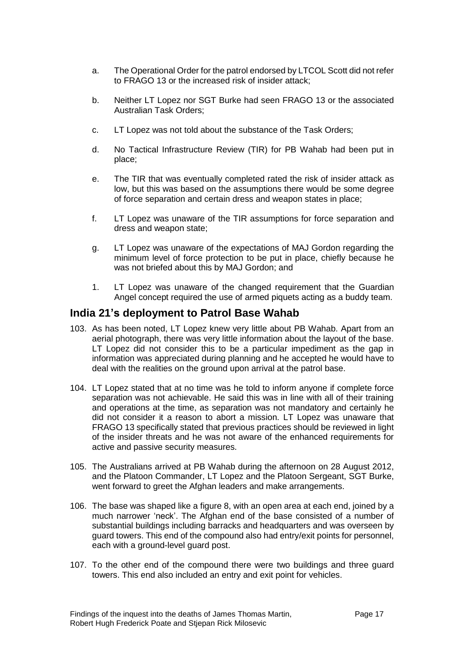- a. The Operational Order for the patrol endorsed by LTCOL Scott did not refer to FRAGO 13 or the increased risk of insider attack;
- b. Neither LT Lopez nor SGT Burke had seen FRAGO 13 or the associated Australian Task Orders;
- c. LT Lopez was not told about the substance of the Task Orders;
- d. No Tactical Infrastructure Review (TIR) for PB Wahab had been put in place;
- e. The TIR that was eventually completed rated the risk of insider attack as low, but this was based on the assumptions there would be some degree of force separation and certain dress and weapon states in place;
- f. LT Lopez was unaware of the TIR assumptions for force separation and dress and weapon state;
- g. LT Lopez was unaware of the expectations of MAJ Gordon regarding the minimum level of force protection to be put in place, chiefly because he was not briefed about this by MAJ Gordon; and
- 1. LT Lopez was unaware of the changed requirement that the Guardian Angel concept required the use of armed piquets acting as a buddy team.

#### <span id="page-19-0"></span>**India 21's deployment to Patrol Base Wahab**

- 103. As has been noted, LT Lopez knew very little about PB Wahab. Apart from an aerial photograph, there was very little information about the layout of the base. LT Lopez did not consider this to be a particular impediment as the gap in information was appreciated during planning and he accepted he would have to deal with the realities on the ground upon arrival at the patrol base.
- 104. LT Lopez stated that at no time was he told to inform anyone if complete force separation was not achievable. He said this was in line with all of their training and operations at the time, as separation was not mandatory and certainly he did not consider it a reason to abort a mission. LT Lopez was unaware that FRAGO 13 specifically stated that previous practices should be reviewed in light of the insider threats and he was not aware of the enhanced requirements for active and passive security measures.
- 105. The Australians arrived at PB Wahab during the afternoon on 28 August 2012, and the Platoon Commander, LT Lopez and the Platoon Sergeant, SGT Burke, went forward to greet the Afghan leaders and make arrangements.
- 106. The base was shaped like a figure 8, with an open area at each end, joined by a much narrower 'neck'. The Afghan end of the base consisted of a number of substantial buildings including barracks and headquarters and was overseen by guard towers. This end of the compound also had entry/exit points for personnel, each with a ground-level guard post.
- 107. To the other end of the compound there were two buildings and three guard towers. This end also included an entry and exit point for vehicles.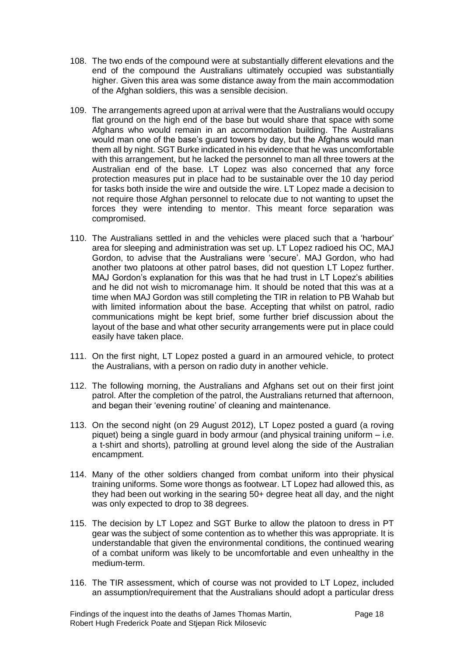- 108. The two ends of the compound were at substantially different elevations and the end of the compound the Australians ultimately occupied was substantially higher. Given this area was some distance away from the main accommodation of the Afghan soldiers, this was a sensible decision.
- 109. The arrangements agreed upon at arrival were that the Australians would occupy flat ground on the high end of the base but would share that space with some Afghans who would remain in an accommodation building. The Australians would man one of the base's guard towers by day, but the Afghans would man them all by night. SGT Burke indicated in his evidence that he was uncomfortable with this arrangement, but he lacked the personnel to man all three towers at the Australian end of the base. LT Lopez was also concerned that any force protection measures put in place had to be sustainable over the 10 day period for tasks both inside the wire and outside the wire. LT Lopez made a decision to not require those Afghan personnel to relocate due to not wanting to upset the forces they were intending to mentor. This meant force separation was compromised.
- 110. The Australians settled in and the vehicles were placed such that a 'harbour' area for sleeping and administration was set up. LT Lopez radioed his OC, MAJ Gordon, to advise that the Australians were 'secure'. MAJ Gordon, who had another two platoons at other patrol bases, did not question LT Lopez further. MAJ Gordon's explanation for this was that he had trust in LT Lopez's abilities and he did not wish to micromanage him. It should be noted that this was at a time when MAJ Gordon was still completing the TIR in relation to PB Wahab but with limited information about the base. Accepting that whilst on patrol, radio communications might be kept brief, some further brief discussion about the layout of the base and what other security arrangements were put in place could easily have taken place.
- 111. On the first night, LT Lopez posted a guard in an armoured vehicle, to protect the Australians, with a person on radio duty in another vehicle.
- 112. The following morning, the Australians and Afghans set out on their first joint patrol. After the completion of the patrol, the Australians returned that afternoon, and began their 'evening routine' of cleaning and maintenance.
- 113. On the second night (on 29 August 2012), LT Lopez posted a guard (a roving piquet) being a single guard in body armour (and physical training uniform – i.e. a t-shirt and shorts), patrolling at ground level along the side of the Australian encampment.
- 114. Many of the other soldiers changed from combat uniform into their physical training uniforms. Some wore thongs as footwear. LT Lopez had allowed this, as they had been out working in the searing 50+ degree heat all day, and the night was only expected to drop to 38 degrees.
- 115. The decision by LT Lopez and SGT Burke to allow the platoon to dress in PT gear was the subject of some contention as to whether this was appropriate. It is understandable that given the environmental conditions, the continued wearing of a combat uniform was likely to be uncomfortable and even unhealthy in the medium-term.
- 116. The TIR assessment, which of course was not provided to LT Lopez, included an assumption/requirement that the Australians should adopt a particular dress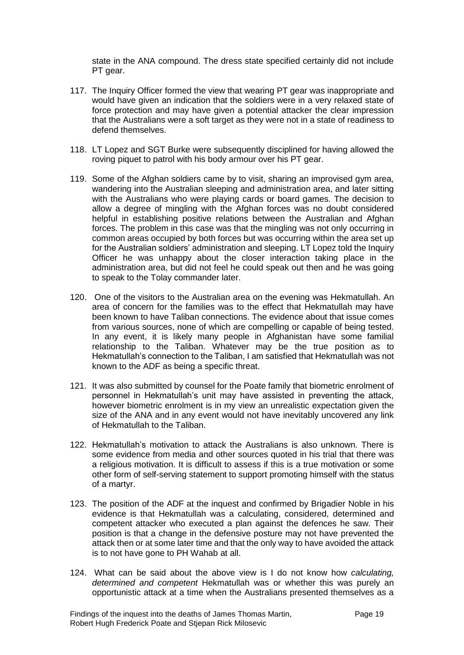state in the ANA compound. The dress state specified certainly did not include PT gear.

- 117. The Inquiry Officer formed the view that wearing PT gear was inappropriate and would have given an indication that the soldiers were in a very relaxed state of force protection and may have given a potential attacker the clear impression that the Australians were a soft target as they were not in a state of readiness to defend themselves.
- 118. LT Lopez and SGT Burke were subsequently disciplined for having allowed the roving piquet to patrol with his body armour over his PT gear.
- 119. Some of the Afghan soldiers came by to visit, sharing an improvised gym area, wandering into the Australian sleeping and administration area, and later sitting with the Australians who were playing cards or board games. The decision to allow a degree of mingling with the Afghan forces was no doubt considered helpful in establishing positive relations between the Australian and Afghan forces. The problem in this case was that the mingling was not only occurring in common areas occupied by both forces but was occurring within the area set up for the Australian soldiers' administration and sleeping. LT Lopez told the Inquiry Officer he was unhappy about the closer interaction taking place in the administration area, but did not feel he could speak out then and he was going to speak to the Tolay commander later.
- 120. One of the visitors to the Australian area on the evening was Hekmatullah. An area of concern for the families was to the effect that Hekmatullah may have been known to have Taliban connections. The evidence about that issue comes from various sources, none of which are compelling or capable of being tested. In any event, it is likely many people in Afghanistan have some familial relationship to the Taliban. Whatever may be the true position as to Hekmatullah's connection to the Taliban, I am satisfied that Hekmatullah was not known to the ADF as being a specific threat.
- 121. It was also submitted by counsel for the Poate family that biometric enrolment of personnel in Hekmatullah's unit may have assisted in preventing the attack, however biometric enrolment is in my view an unrealistic expectation given the size of the ANA and in any event would not have inevitably uncovered any link of Hekmatullah to the Taliban.
- 122. Hekmatullah's motivation to attack the Australians is also unknown. There is some evidence from media and other sources quoted in his trial that there was a religious motivation. It is difficult to assess if this is a true motivation or some other form of self-serving statement to support promoting himself with the status of a martyr.
- 123. The position of the ADF at the inquest and confirmed by Brigadier Noble in his evidence is that Hekmatullah was a calculating, considered, determined and competent attacker who executed a plan against the defences he saw. Their position is that a change in the defensive posture may not have prevented the attack then or at some later time and that the only way to have avoided the attack is to not have gone to PH Wahab at all.
- 124. What can be said about the above view is I do not know how *calculating, determined and competent* Hekmatullah was or whether this was purely an opportunistic attack at a time when the Australians presented themselves as a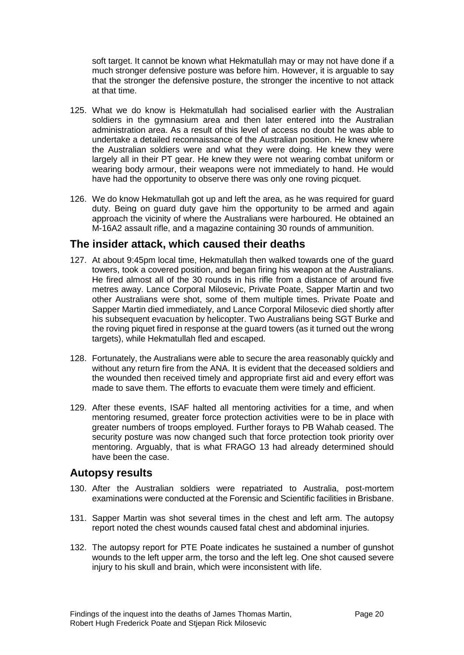soft target. It cannot be known what Hekmatullah may or may not have done if a much stronger defensive posture was before him. However, it is arguable to say that the stronger the defensive posture, the stronger the incentive to not attack at that time.

- 125. What we do know is Hekmatullah had socialised earlier with the Australian soldiers in the gymnasium area and then later entered into the Australian administration area. As a result of this level of access no doubt he was able to undertake a detailed reconnaissance of the Australian position. He knew where the Australian soldiers were and what they were doing. He knew they were largely all in their PT gear. He knew they were not wearing combat uniform or wearing body armour, their weapons were not immediately to hand. He would have had the opportunity to observe there was only one roving picquet.
- 126. We do know Hekmatullah got up and left the area, as he was required for guard duty. Being on guard duty gave him the opportunity to be armed and again approach the vicinity of where the Australians were harboured. He obtained an M-16A2 assault rifle, and a magazine containing 30 rounds of ammunition.

#### <span id="page-22-0"></span>**The insider attack, which caused their deaths**

- 127. At about 9:45pm local time, Hekmatullah then walked towards one of the guard towers, took a covered position, and began firing his weapon at the Australians. He fired almost all of the 30 rounds in his rifle from a distance of around five metres away. Lance Corporal Milosevic, Private Poate, Sapper Martin and two other Australians were shot, some of them multiple times. Private Poate and Sapper Martin died immediately, and Lance Corporal Milosevic died shortly after his subsequent evacuation by helicopter. Two Australians being SGT Burke and the roving piquet fired in response at the guard towers (as it turned out the wrong targets), while Hekmatullah fled and escaped.
- 128. Fortunately, the Australians were able to secure the area reasonably quickly and without any return fire from the ANA. It is evident that the deceased soldiers and the wounded then received timely and appropriate first aid and every effort was made to save them. The efforts to evacuate them were timely and efficient.
- 129. After these events, ISAF halted all mentoring activities for a time, and when mentoring resumed, greater force protection activities were to be in place with greater numbers of troops employed. Further forays to PB Wahab ceased. The security posture was now changed such that force protection took priority over mentoring. Arguably, that is what FRAGO 13 had already determined should have been the case.

#### <span id="page-22-1"></span>**Autopsy results**

- 130. After the Australian soldiers were repatriated to Australia, post-mortem examinations were conducted at the Forensic and Scientific facilities in Brisbane.
- 131. Sapper Martin was shot several times in the chest and left arm. The autopsy report noted the chest wounds caused fatal chest and abdominal injuries.
- 132. The autopsy report for PTE Poate indicates he sustained a number of gunshot wounds to the left upper arm, the torso and the left leg. One shot caused severe injury to his skull and brain, which were inconsistent with life.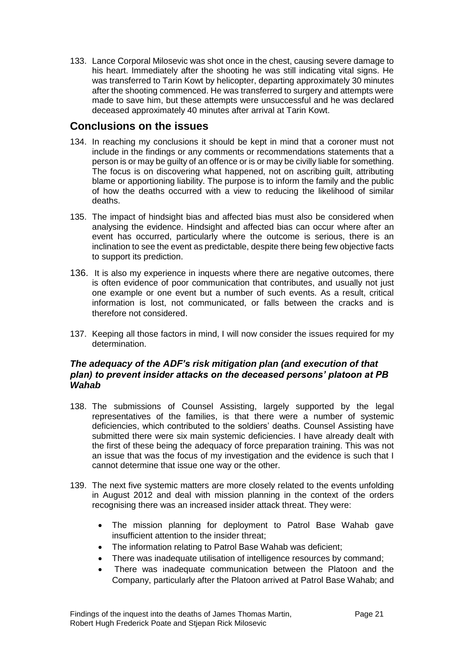133. Lance Corporal Milosevic was shot once in the chest, causing severe damage to his heart. Immediately after the shooting he was still indicating vital signs. He was transferred to Tarin Kowt by helicopter, departing approximately 30 minutes after the shooting commenced. He was transferred to surgery and attempts were made to save him, but these attempts were unsuccessful and he was declared deceased approximately 40 minutes after arrival at Tarin Kowt.

## <span id="page-23-0"></span>**Conclusions on the issues**

- 134. In reaching my conclusions it should be kept in mind that a coroner must not include in the findings or any comments or recommendations statements that a person is or may be guilty of an offence or is or may be civilly liable for something. The focus is on discovering what happened, not on ascribing guilt, attributing blame or apportioning liability. The purpose is to inform the family and the public of how the deaths occurred with a view to reducing the likelihood of similar deaths.
- 135. The impact of hindsight bias and affected bias must also be considered when analysing the evidence. Hindsight and affected bias can occur where after an event has occurred, particularly where the outcome is serious, there is an inclination to see the event as predictable, despite there being few objective facts to support its prediction.
- 136. It is also my experience in inquests where there are negative outcomes, there is often evidence of poor communication that contributes, and usually not just one example or one event but a number of such events. As a result, critical information is lost, not communicated, or falls between the cracks and is therefore not considered.
- 137. Keeping all those factors in mind, I will now consider the issues required for my determination.

#### *The adequacy of the ADF's risk mitigation plan (and execution of that plan) to prevent insider attacks on the deceased persons' platoon at PB Wahab*

- 138. The submissions of Counsel Assisting, largely supported by the legal representatives of the families, is that there were a number of systemic deficiencies, which contributed to the soldiers' deaths. Counsel Assisting have submitted there were six main systemic deficiencies. I have already dealt with the first of these being the adequacy of force preparation training. This was not an issue that was the focus of my investigation and the evidence is such that I cannot determine that issue one way or the other.
- 139. The next five systemic matters are more closely related to the events unfolding in August 2012 and deal with mission planning in the context of the orders recognising there was an increased insider attack threat. They were:
	- The mission planning for deployment to Patrol Base Wahab gave insufficient attention to the insider threat;
	- The information relating to Patrol Base Wahab was deficient;
	- There was inadequate utilisation of intelligence resources by command;
	- There was inadequate communication between the Platoon and the Company, particularly after the Platoon arrived at Patrol Base Wahab; and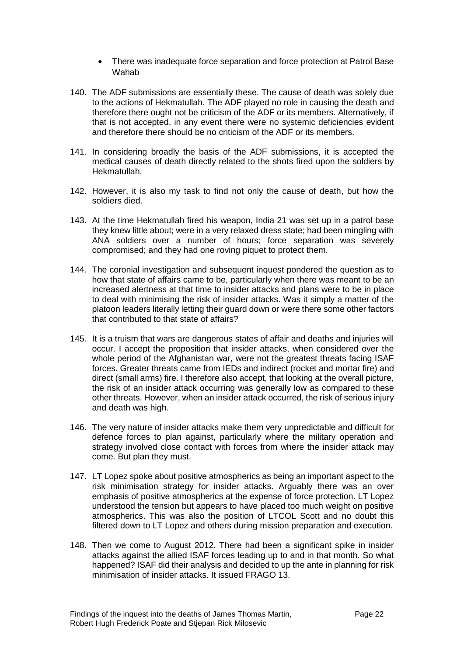- There was inadequate force separation and force protection at Patrol Base Wahab
- 140. The ADF submissions are essentially these. The cause of death was solely due to the actions of Hekmatullah. The ADF played no role in causing the death and therefore there ought not be criticism of the ADF or its members. Alternatively, if that is not accepted, in any event there were no systemic deficiencies evident and therefore there should be no criticism of the ADF or its members.
- 141. In considering broadly the basis of the ADF submissions, it is accepted the medical causes of death directly related to the shots fired upon the soldiers by Hekmatullah.
- 142. However, it is also my task to find not only the cause of death, but how the soldiers died.
- 143. At the time Hekmatullah fired his weapon, India 21 was set up in a patrol base they knew little about; were in a very relaxed dress state; had been mingling with ANA soldiers over a number of hours; force separation was severely compromised; and they had one roving piquet to protect them.
- 144. The coronial investigation and subsequent inquest pondered the question as to how that state of affairs came to be, particularly when there was meant to be an increased alertness at that time to insider attacks and plans were to be in place to deal with minimising the risk of insider attacks. Was it simply a matter of the platoon leaders literally letting their guard down or were there some other factors that contributed to that state of affairs?
- 145. It is a truism that wars are dangerous states of affair and deaths and injuries will occur. I accept the proposition that insider attacks, when considered over the whole period of the Afghanistan war, were not the greatest threats facing ISAF forces. Greater threats came from IEDs and indirect (rocket and mortar fire) and direct (small arms) fire. I therefore also accept, that looking at the overall picture, the risk of an insider attack occurring was generally low as compared to these other threats. However, when an insider attack occurred, the risk of serious injury and death was high.
- 146. The very nature of insider attacks make them very unpredictable and difficult for defence forces to plan against, particularly where the military operation and strategy involved close contact with forces from where the insider attack may come. But plan they must.
- 147. LT Lopez spoke about positive atmospherics as being an important aspect to the risk minimisation strategy for insider attacks. Arguably there was an over emphasis of positive atmospherics at the expense of force protection. LT Lopez understood the tension but appears to have placed too much weight on positive atmospherics. This was also the position of LTCOL Scott and no doubt this filtered down to LT Lopez and others during mission preparation and execution.
- 148. Then we come to August 2012. There had been a significant spike in insider attacks against the allied ISAF forces leading up to and in that month. So what happened? ISAF did their analysis and decided to up the ante in planning for risk minimisation of insider attacks. It issued FRAGO 13.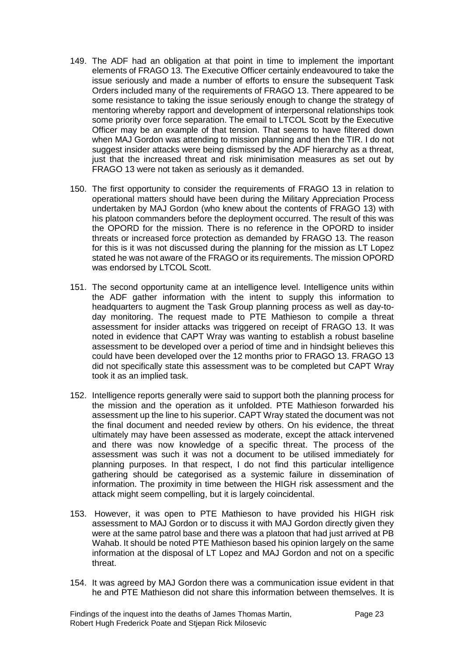- 149. The ADF had an obligation at that point in time to implement the important elements of FRAGO 13. The Executive Officer certainly endeavoured to take the issue seriously and made a number of efforts to ensure the subsequent Task Orders included many of the requirements of FRAGO 13. There appeared to be some resistance to taking the issue seriously enough to change the strategy of mentoring whereby rapport and development of interpersonal relationships took some priority over force separation. The email to LTCOL Scott by the Executive Officer may be an example of that tension. That seems to have filtered down when MAJ Gordon was attending to mission planning and then the TIR. I do not suggest insider attacks were being dismissed by the ADF hierarchy as a threat, just that the increased threat and risk minimisation measures as set out by FRAGO 13 were not taken as seriously as it demanded.
- 150. The first opportunity to consider the requirements of FRAGO 13 in relation to operational matters should have been during the Military Appreciation Process undertaken by MAJ Gordon (who knew about the contents of FRAGO 13) with his platoon commanders before the deployment occurred. The result of this was the OPORD for the mission. There is no reference in the OPORD to insider threats or increased force protection as demanded by FRAGO 13. The reason for this is it was not discussed during the planning for the mission as LT Lopez stated he was not aware of the FRAGO or its requirements. The mission OPORD was endorsed by LTCOL Scott.
- 151. The second opportunity came at an intelligence level. Intelligence units within the ADF gather information with the intent to supply this information to headquarters to augment the Task Group planning process as well as day-today monitoring. The request made to PTE Mathieson to compile a threat assessment for insider attacks was triggered on receipt of FRAGO 13. It was noted in evidence that CAPT Wray was wanting to establish a robust baseline assessment to be developed over a period of time and in hindsight believes this could have been developed over the 12 months prior to FRAGO 13. FRAGO 13 did not specifically state this assessment was to be completed but CAPT Wray took it as an implied task.
- 152. Intelligence reports generally were said to support both the planning process for the mission and the operation as it unfolded. PTE Mathieson forwarded his assessment up the line to his superior. CAPT Wray stated the document was not the final document and needed review by others. On his evidence, the threat ultimately may have been assessed as moderate, except the attack intervened and there was now knowledge of a specific threat. The process of the assessment was such it was not a document to be utilised immediately for planning purposes. In that respect, I do not find this particular intelligence gathering should be categorised as a systemic failure in dissemination of information. The proximity in time between the HIGH risk assessment and the attack might seem compelling, but it is largely coincidental.
- 153. However, it was open to PTE Mathieson to have provided his HIGH risk assessment to MAJ Gordon or to discuss it with MAJ Gordon directly given they were at the same patrol base and there was a platoon that had just arrived at PB Wahab. It should be noted PTE Mathieson based his opinion largely on the same information at the disposal of LT Lopez and MAJ Gordon and not on a specific threat.
- 154. It was agreed by MAJ Gordon there was a communication issue evident in that he and PTE Mathieson did not share this information between themselves. It is

Findings of the inquest into the deaths of James Thomas Martin, Robert Hugh Frederick Poate and Stjepan Rick Milosevic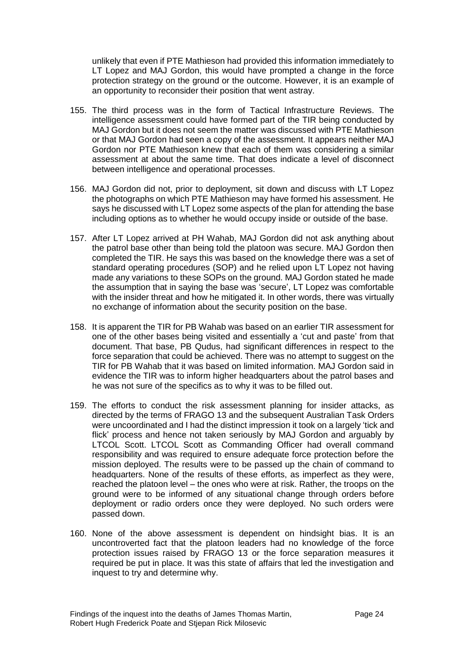unlikely that even if PTE Mathieson had provided this information immediately to LT Lopez and MAJ Gordon, this would have prompted a change in the force protection strategy on the ground or the outcome. However, it is an example of an opportunity to reconsider their position that went astray.

- 155. The third process was in the form of Tactical Infrastructure Reviews. The intelligence assessment could have formed part of the TIR being conducted by MAJ Gordon but it does not seem the matter was discussed with PTE Mathieson or that MAJ Gordon had seen a copy of the assessment. It appears neither MAJ Gordon nor PTE Mathieson knew that each of them was considering a similar assessment at about the same time. That does indicate a level of disconnect between intelligence and operational processes.
- 156. MAJ Gordon did not, prior to deployment, sit down and discuss with LT Lopez the photographs on which PTE Mathieson may have formed his assessment. He says he discussed with LT Lopez some aspects of the plan for attending the base including options as to whether he would occupy inside or outside of the base.
- 157. After LT Lopez arrived at PH Wahab, MAJ Gordon did not ask anything about the patrol base other than being told the platoon was secure. MAJ Gordon then completed the TIR. He says this was based on the knowledge there was a set of standard operating procedures (SOP) and he relied upon LT Lopez not having made any variations to these SOPs on the ground. MAJ Gordon stated he made the assumption that in saying the base was 'secure', LT Lopez was comfortable with the insider threat and how he mitigated it. In other words, there was virtually no exchange of information about the security position on the base.
- 158. It is apparent the TIR for PB Wahab was based on an earlier TIR assessment for one of the other bases being visited and essentially a 'cut and paste' from that document. That base, PB Qudus, had significant differences in respect to the force separation that could be achieved. There was no attempt to suggest on the TIR for PB Wahab that it was based on limited information. MAJ Gordon said in evidence the TIR was to inform higher headquarters about the patrol bases and he was not sure of the specifics as to why it was to be filled out.
- 159. The efforts to conduct the risk assessment planning for insider attacks, as directed by the terms of FRAGO 13 and the subsequent Australian Task Orders were uncoordinated and I had the distinct impression it took on a largely 'tick and flick' process and hence not taken seriously by MAJ Gordon and arguably by LTCOL Scott. LTCOL Scott as Commanding Officer had overall command responsibility and was required to ensure adequate force protection before the mission deployed. The results were to be passed up the chain of command to headquarters. None of the results of these efforts, as imperfect as they were, reached the platoon level – the ones who were at risk. Rather, the troops on the ground were to be informed of any situational change through orders before deployment or radio orders once they were deployed. No such orders were passed down.
- 160. None of the above assessment is dependent on hindsight bias. It is an uncontroverted fact that the platoon leaders had no knowledge of the force protection issues raised by FRAGO 13 or the force separation measures it required be put in place. It was this state of affairs that led the investigation and inquest to try and determine why.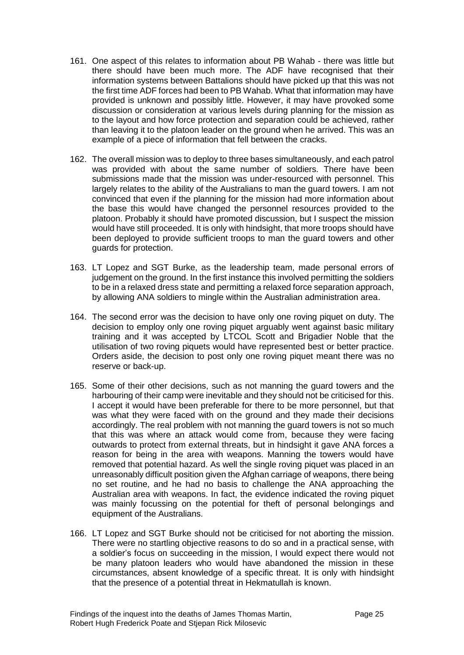- 161. One aspect of this relates to information about PB Wahab there was little but there should have been much more. The ADF have recognised that their information systems between Battalions should have picked up that this was not the first time ADF forces had been to PB Wahab. What that information may have provided is unknown and possibly little. However, it may have provoked some discussion or consideration at various levels during planning for the mission as to the layout and how force protection and separation could be achieved, rather than leaving it to the platoon leader on the ground when he arrived. This was an example of a piece of information that fell between the cracks.
- 162. The overall mission was to deploy to three bases simultaneously, and each patrol was provided with about the same number of soldiers. There have been submissions made that the mission was under-resourced with personnel. This largely relates to the ability of the Australians to man the guard towers. I am not convinced that even if the planning for the mission had more information about the base this would have changed the personnel resources provided to the platoon. Probably it should have promoted discussion, but I suspect the mission would have still proceeded. It is only with hindsight, that more troops should have been deployed to provide sufficient troops to man the guard towers and other guards for protection.
- 163. LT Lopez and SGT Burke, as the leadership team, made personal errors of judgement on the ground. In the first instance this involved permitting the soldiers to be in a relaxed dress state and permitting a relaxed force separation approach, by allowing ANA soldiers to mingle within the Australian administration area.
- 164. The second error was the decision to have only one roving piquet on duty. The decision to employ only one roving piquet arguably went against basic military training and it was accepted by LTCOL Scott and Brigadier Noble that the utilisation of two roving piquets would have represented best or better practice. Orders aside, the decision to post only one roving piquet meant there was no reserve or back-up.
- 165. Some of their other decisions, such as not manning the guard towers and the harbouring of their camp were inevitable and they should not be criticised for this. I accept it would have been preferable for there to be more personnel, but that was what they were faced with on the ground and they made their decisions accordingly. The real problem with not manning the guard towers is not so much that this was where an attack would come from, because they were facing outwards to protect from external threats, but in hindsight it gave ANA forces a reason for being in the area with weapons. Manning the towers would have removed that potential hazard. As well the single roving piquet was placed in an unreasonably difficult position given the Afghan carriage of weapons, there being no set routine, and he had no basis to challenge the ANA approaching the Australian area with weapons. In fact, the evidence indicated the roving piquet was mainly focussing on the potential for theft of personal belongings and equipment of the Australians.
- 166. LT Lopez and SGT Burke should not be criticised for not aborting the mission. There were no startling objective reasons to do so and in a practical sense, with a soldier's focus on succeeding in the mission, I would expect there would not be many platoon leaders who would have abandoned the mission in these circumstances, absent knowledge of a specific threat. It is only with hindsight that the presence of a potential threat in Hekmatullah is known.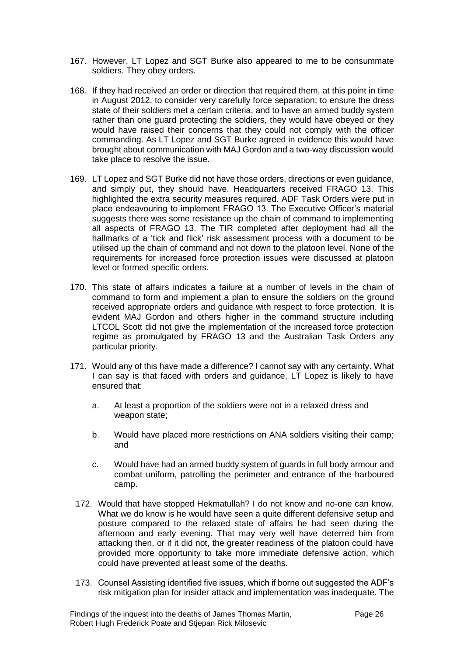- 167. However, LT Lopez and SGT Burke also appeared to me to be consummate soldiers. They obey orders.
- 168. If they had received an order or direction that required them, at this point in time in August 2012, to consider very carefully force separation; to ensure the dress state of their soldiers met a certain criteria, and to have an armed buddy system rather than one guard protecting the soldiers, they would have obeyed or they would have raised their concerns that they could not comply with the officer commanding. As LT Lopez and SGT Burke agreed in evidence this would have brought about communication with MAJ Gordon and a two-way discussion would take place to resolve the issue.
- 169. LT Lopez and SGT Burke did not have those orders, directions or even guidance, and simply put, they should have. Headquarters received FRAGO 13. This highlighted the extra security measures required. ADF Task Orders were put in place endeavouring to implement FRAGO 13. The Executive Officer's material suggests there was some resistance up the chain of command to implementing all aspects of FRAGO 13. The TIR completed after deployment had all the hallmarks of a 'tick and flick' risk assessment process with a document to be utilised up the chain of command and not down to the platoon level. None of the requirements for increased force protection issues were discussed at platoon level or formed specific orders.
- 170. This state of affairs indicates a failure at a number of levels in the chain of command to form and implement a plan to ensure the soldiers on the ground received appropriate orders and guidance with respect to force protection. It is evident MAJ Gordon and others higher in the command structure including LTCOL Scott did not give the implementation of the increased force protection regime as promulgated by FRAGO 13 and the Australian Task Orders any particular priority.
- 171. Would any of this have made a difference? I cannot say with any certainty. What I can say is that faced with orders and guidance, LT Lopez is likely to have ensured that:
	- a. At least a proportion of the soldiers were not in a relaxed dress and weapon state;
	- b. Would have placed more restrictions on ANA soldiers visiting their camp; and
	- c. Would have had an armed buddy system of guards in full body armour and combat uniform, patrolling the perimeter and entrance of the harboured camp.
	- 172. Would that have stopped Hekmatullah? I do not know and no-one can know. What we do know is he would have seen a quite different defensive setup and posture compared to the relaxed state of affairs he had seen during the afternoon and early evening. That may very well have deterred him from attacking then, or if it did not, the greater readiness of the platoon could have provided more opportunity to take more immediate defensive action, which could have prevented at least some of the deaths.
	- 173. Counsel Assisting identified five issues, which if borne out suggested the ADF's risk mitigation plan for insider attack and implementation was inadequate. The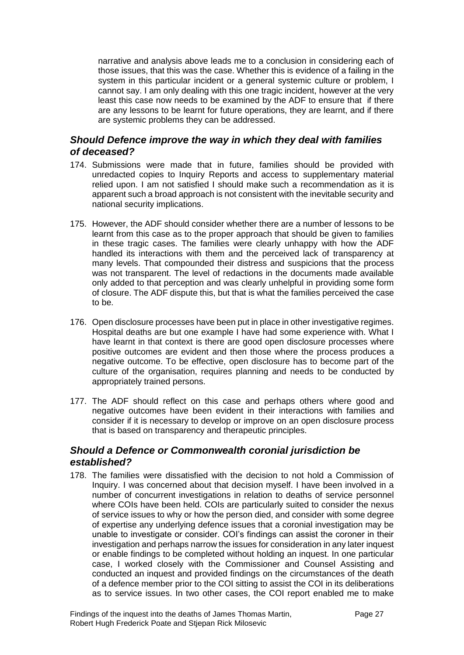narrative and analysis above leads me to a conclusion in considering each of those issues, that this was the case. Whether this is evidence of a failing in the system in this particular incident or a general systemic culture or problem, I cannot say. I am only dealing with this one tragic incident, however at the very least this case now needs to be examined by the ADF to ensure that if there are any lessons to be learnt for future operations, they are learnt, and if there are systemic problems they can be addressed.

#### <span id="page-29-0"></span>*Should Defence improve the way in which they deal with families of deceased?*

- 174. Submissions were made that in future, families should be provided with unredacted copies to Inquiry Reports and access to supplementary material relied upon. I am not satisfied I should make such a recommendation as it is apparent such a broad approach is not consistent with the inevitable security and national security implications.
- 175. However, the ADF should consider whether there are a number of lessons to be learnt from this case as to the proper approach that should be given to families in these tragic cases. The families were clearly unhappy with how the ADF handled its interactions with them and the perceived lack of transparency at many levels. That compounded their distress and suspicions that the process was not transparent. The level of redactions in the documents made available only added to that perception and was clearly unhelpful in providing some form of closure. The ADF dispute this, but that is what the families perceived the case to be.
- 176. Open disclosure processes have been put in place in other investigative regimes. Hospital deaths are but one example I have had some experience with. What I have learnt in that context is there are good open disclosure processes where positive outcomes are evident and then those where the process produces a negative outcome. To be effective, open disclosure has to become part of the culture of the organisation, requires planning and needs to be conducted by appropriately trained persons.
- 177. The ADF should reflect on this case and perhaps others where good and negative outcomes have been evident in their interactions with families and consider if it is necessary to develop or improve on an open disclosure process that is based on transparency and therapeutic principles.

#### <span id="page-29-1"></span>*Should a Defence or Commonwealth coronial jurisdiction be established?*

178. The families were dissatisfied with the decision to not hold a Commission of Inquiry. I was concerned about that decision myself. I have been involved in a number of concurrent investigations in relation to deaths of service personnel where COIs have been held. COIs are particularly suited to consider the nexus of service issues to why or how the person died, and consider with some degree of expertise any underlying defence issues that a coronial investigation may be unable to investigate or consider. COI's findings can assist the coroner in their investigation and perhaps narrow the issues for consideration in any later inquest or enable findings to be completed without holding an inquest. In one particular case, I worked closely with the Commissioner and Counsel Assisting and conducted an inquest and provided findings on the circumstances of the death of a defence member prior to the COI sitting to assist the COI in its deliberations as to service issues. In two other cases, the COI report enabled me to make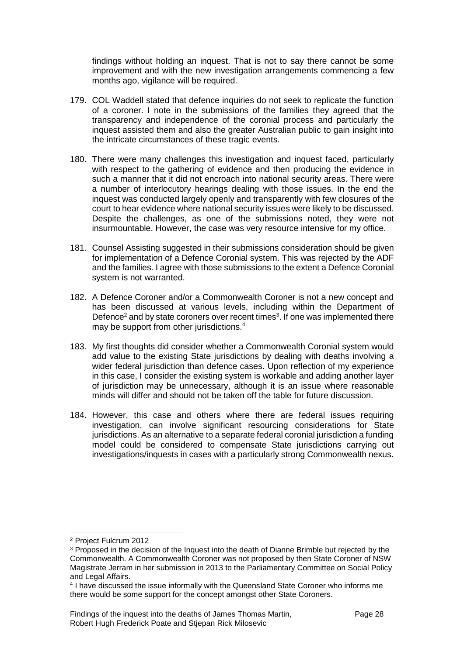findings without holding an inquest. That is not to say there cannot be some improvement and with the new investigation arrangements commencing a few months ago, vigilance will be required.

- 179. COL Waddell stated that defence inquiries do not seek to replicate the function of a coroner. I note in the submissions of the families they agreed that the transparency and independence of the coronial process and particularly the inquest assisted them and also the greater Australian public to gain insight into the intricate circumstances of these tragic events.
- 180. There were many challenges this investigation and inquest faced, particularly with respect to the gathering of evidence and then producing the evidence in such a manner that it did not encroach into national security areas. There were a number of interlocutory hearings dealing with those issues. In the end the inquest was conducted largely openly and transparently with few closures of the court to hear evidence where national security issues were likely to be discussed. Despite the challenges, as one of the submissions noted, they were not insurmountable. However, the case was very resource intensive for my office.
- 181. Counsel Assisting suggested in their submissions consideration should be given for implementation of a Defence Coronial system. This was rejected by the ADF and the families. I agree with those submissions to the extent a Defence Coronial system is not warranted.
- 182. A Defence Coroner and/or a Commonwealth Coroner is not a new concept and has been discussed at various levels, including within the Department of Defence<sup>2</sup> and by state coroners over recent times<sup>3</sup>. If one was implemented there may be support from other jurisdictions.<sup>4</sup>
- 183. My first thoughts did consider whether a Commonwealth Coronial system would add value to the existing State jurisdictions by dealing with deaths involving a wider federal jurisdiction than defence cases. Upon reflection of my experience in this case, I consider the existing system is workable and adding another layer of jurisdiction may be unnecessary, although it is an issue where reasonable minds will differ and should not be taken off the table for future discussion.
- 184. However, this case and others where there are federal issues requiring investigation, can involve significant resourcing considerations for State jurisdictions. As an alternative to a separate federal coronial jurisdiction a funding model could be considered to compensate State jurisdictions carrying out investigations/inquests in cases with a particularly strong Commonwealth nexus.

l

<sup>2</sup> Project Fulcrum 2012

<sup>&</sup>lt;sup>3</sup> Proposed in the decision of the Inquest into the death of Dianne Brimble but rejected by the Commonwealth. A Commonwealth Coroner was not proposed by then State Coroner of NSW Magistrate Jerram in her submission in 2013 to the Parliamentary Committee on Social Policy and Legal Affairs.

<sup>4</sup> I have discussed the issue informally with the Queensland State Coroner who informs me there would be some support for the concept amongst other State Coroners.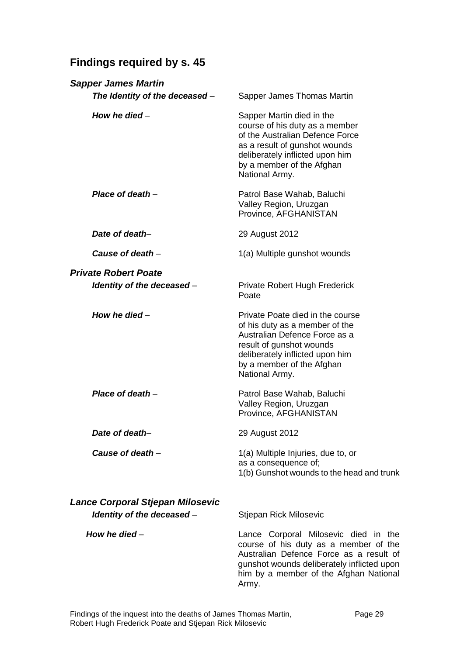# <span id="page-31-0"></span>**Findings required by s. 45**

| <b>Sapper James Martin</b>       |                                                                                                                                                                                                                           |
|----------------------------------|---------------------------------------------------------------------------------------------------------------------------------------------------------------------------------------------------------------------------|
| The Identity of the deceased -   | Sapper James Thomas Martin                                                                                                                                                                                                |
| How he died $-$                  | Sapper Martin died in the<br>course of his duty as a member<br>of the Australian Defence Force<br>as a result of gunshot wounds<br>deliberately inflicted upon him<br>by a member of the Afghan<br>National Army.         |
| Place of death $-$               | Patrol Base Wahab, Baluchi<br>Valley Region, Uruzgan<br>Province, AFGHANISTAN                                                                                                                                             |
| Date of death-                   | 29 August 2012                                                                                                                                                                                                            |
| Cause of death $-$               | 1(a) Multiple gunshot wounds                                                                                                                                                                                              |
| <b>Private Robert Poate</b>      |                                                                                                                                                                                                                           |
| Identity of the deceased -       | Private Robert Hugh Frederick<br>Poate                                                                                                                                                                                    |
| How he died $-$                  | Private Poate died in the course<br>of his duty as a member of the<br>Australian Defence Force as a<br>result of gunshot wounds<br>deliberately inflicted upon him<br>by a member of the Afghan<br>National Army.         |
| Place of death $-$               | Patrol Base Wahab, Baluchi<br>Valley Region, Uruzgan<br>Province, AFGHANISTAN                                                                                                                                             |
| Date of death-                   | 29 August 2012                                                                                                                                                                                                            |
| Cause of death -                 | 1(a) Multiple Injuries, due to, or<br>as a consequence of;<br>1(b) Gunshot wounds to the head and trunk                                                                                                                   |
| Lance Corporal Stjepan Milosevic |                                                                                                                                                                                                                           |
| Identity of the deceased -       | Stjepan Rick Milosevic                                                                                                                                                                                                    |
| How he died $-$                  | Lance Corporal Milosevic died in the<br>course of his duty as a member of the<br>Australian Defence Force as a result of<br>gunshot wounds deliberately inflicted upon<br>him by a member of the Afghan National<br>Army. |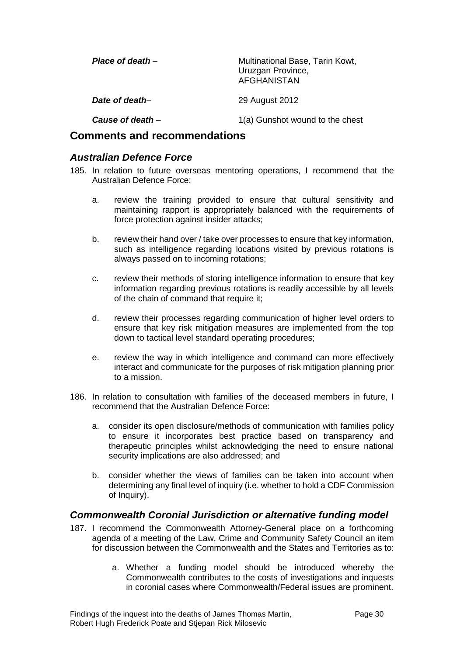| Place of death $-$ | Multinational Base, Tarin Kowt,<br>Uruzgan Province,<br><b>AFGHANISTAN</b> |
|--------------------|----------------------------------------------------------------------------|
| Date of death-     | 29 August 2012                                                             |
| Cause of death $-$ | 1(a) Gunshot wound to the chest                                            |

#### <span id="page-32-0"></span>**Comments and recommendations**

#### <span id="page-32-1"></span>*Australian Defence Force*

- 185. In relation to future overseas mentoring operations, I recommend that the Australian Defence Force:
	- a. review the training provided to ensure that cultural sensitivity and maintaining rapport is appropriately balanced with the requirements of force protection against insider attacks;
	- b. review their hand over / take over processes to ensure that key information, such as intelligence regarding locations visited by previous rotations is always passed on to incoming rotations;
	- c. review their methods of storing intelligence information to ensure that key information regarding previous rotations is readily accessible by all levels of the chain of command that require it;
	- d. review their processes regarding communication of higher level orders to ensure that key risk mitigation measures are implemented from the top down to tactical level standard operating procedures;
	- e. review the way in which intelligence and command can more effectively interact and communicate for the purposes of risk mitigation planning prior to a mission.
- 186. In relation to consultation with families of the deceased members in future, I recommend that the Australian Defence Force:
	- a. consider its open disclosure/methods of communication with families policy to ensure it incorporates best practice based on transparency and therapeutic principles whilst acknowledging the need to ensure national security implications are also addressed; and
	- b. consider whether the views of families can be taken into account when determining any final level of inquiry (i.e. whether to hold a CDF Commission of Inquiry).

#### <span id="page-32-2"></span>*Commonwealth Coronial Jurisdiction or alternative funding model*

- 187. I recommend the Commonwealth Attorney-General place on a forthcoming agenda of a meeting of the Law, Crime and Community Safety Council an item for discussion between the Commonwealth and the States and Territories as to:
	- a. Whether a funding model should be introduced whereby the Commonwealth contributes to the costs of investigations and inquests in coronial cases where Commonwealth/Federal issues are prominent.